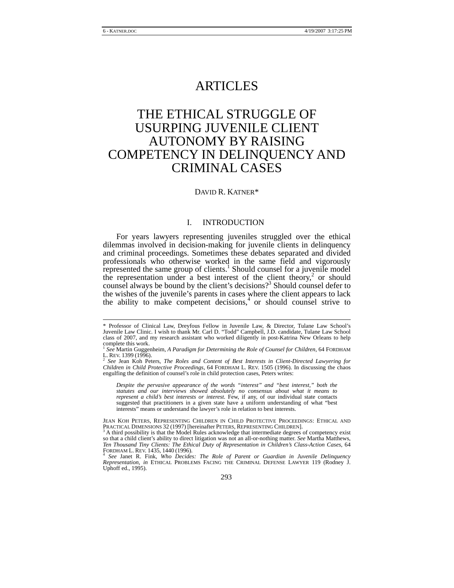## ARTICLES

# THE ETHICAL STRUGGLE OF USURPING JUVENILE CLIENT AUTONOMY BY RAISING COMPETENCY IN DELINQUENCY AND CRIMINAL CASES

## DAVID R. KATNER\*

## I. INTRODUCTION

For years lawyers representing juveniles struggled over the ethical dilemmas involved in decision-making for juvenile clients in delinquency and criminal proceedings. Sometimes these debates separated and divided professionals who otherwise worked in the same field and vigorously represented the same group of clients.<sup>1</sup> Should counsel for a juvenile model the representation under a best interest of the client theory,<sup>2</sup> or should counsel always be bound by the client's decisions?<sup>3</sup> Should counsel defer to the wishes of the juvenile's parents in cases where the client appears to lack the ability to make competent decisions,<sup>4</sup> or should counsel strive to

*Despite the pervasive appearance of the words "interest" and "best interest," both the statutes and our interviews showed absolutely no consensus about what it means to represent a child's best interests or interest.* Few, if any, of our individual state contacts suggested that practitioners in a given state have a uniform understanding of what "best interests" means or understand the lawyer's role in relation to best interests.

JEAN KOH PETERS, REPRESENTING CHILDREN IN CHILD PROTECTIVE PROCEEDINGS: ETHICAL AND PRACTICAL DIMENSIONS 32 (1997) [hereinafter PETERS, REPRESENTING CHILDREN]. 3

 A third possibility is that the Model Rules acknowledge that intermediate degrees of competency exist so that a child client's ability to direct litigation was not an all-or-nothing matter. *See* Martha Matthews, *Ten Thousand Tiny Clients: The Ethical Duty of Representation in Children's Class-Action Cases*, 64

FORDHAM L. REV. 1435, <sup>1440</sup> (1996). 4 *See* Janet R. Fink, *Who Decides: The Role of Parent or Guardian in Juvenile Delinquency Representation*, *in* ETHICAL PROBLEMS FACING THE CRIMINAL DEFENSE LAWYER 119 (Rodney J. Uphoff ed., 1995).

 <sup>\*</sup> Professor of Clinical Law, Dreyfous Fellow in Juvenile Law, & Director, Tulane Law School's Juvenile Law Clinic. I wish to thank Mr. Carl D. "Todd" Campbell, J.D. candidate, Tulane Law School class of 2007, and my research assistant who worked diligently in post-Katrina New Orleans to help complete this work.

<sup>&</sup>lt;sup>1</sup> *See* Martin Guggenheim, *A Paradigm for Determining the Role of Counsel for Children*, 64 FORDHAM<br>L. REV. 1399 (1996).

L. REV. 1399 (1996).<br><sup>2</sup> See Jean Koh Peters, *The Roles and Content of Best Interests in Client-Directed Lawyering for<br><i>Children in Child Protective Proceedings*, 64 FORDHAM L. REV. 1505 (1996). In discussing the chaos engulfing the definition of counsel's role in child protection cases, Peters writes: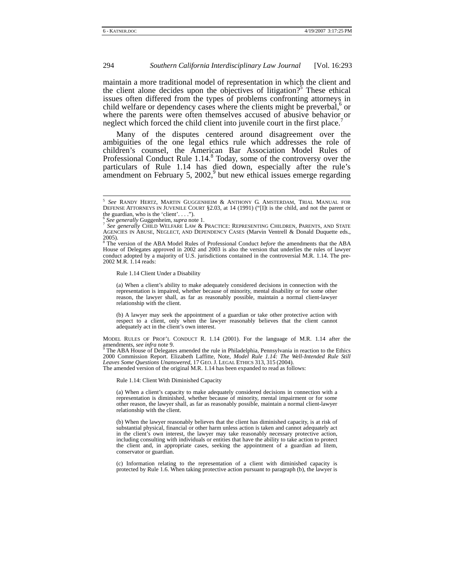maintain a more traditional model of representation in which the client and the client alone decides upon the objectives of litigation?<sup>5</sup> These ethical issues often differed from the types of problems confronting attorneys in child welfare or dependency cases where the clients might be preverbal, $6$  or where the parents were often themselves accused of abusive behavior or neglect which forced the child client into juvenile court in the first place.

Many of the disputes centered around disagreement over the ambiguities of the one legal ethics rule which addresses the role of children's counsel, the American Bar Association Model Rules of Professional Conduct Rule  $1.14$ .<sup>8</sup> Today, some of the controversy over the particulars of Rule 1.14 has died down, especially after the rule's amendment on February 5,  $2002<sup>9</sup>$  but new ethical issues emerge regarding

Rule 1.14 Client Under a Disability

(a) When a client's ability to make adequately considered decisions in connection with the representation is impaired, whether because of minority, mental disability or for some other reason, the lawyer shall, as far as reasonably possible, maintain a normal client-lawyer relationship with the client.

(b) A lawyer may seek the appointment of a guardian or take other protective action with respect to a client, only when the lawyer reasonably believes that the client cannot adequately act in the client's own interest.

MODEL RULES OF PROF'L CONDUCT R. 1.14 (2001). For the language of M.R. 1.14 after the amendments, *see infra* note 9.<br><sup>9</sup> The ABA House of Delegates amended the rule in Philadelphia, Pennsylvania in reaction to the Ethics

2000 Commission Report. Elizabeth Laffitte, Note, *Model Rule 1.14: The Well-Intended Rule Still Leaves Some Questions Unanswered,* 17 GEO. J. LEGAL ETHICS 313, 315 (2004). The amended version of the original M.R. 1.14 has been expanded to read as follows:

Rule 1.14: Client With Diminished Capacity

(a) When a client's capacity to make adequately considered decisions in connection with a representation is diminished, whether because of minority, mental impairment or for some other reason, the lawyer shall, as far as reasonably possible, maintain a normal client-lawyer relationship with the client.

(b) When the lawyer reasonably believes that the client has diminished capacity, is at risk of substantial physical, financial or other harm unless action is taken and cannot adequately act in the client's own interest, the lawyer may take reasonably necessary protective action, including consulting with individuals or entities that have the ability to take action to protect the client and, in appropriate cases, seeking the appointment of a guardian ad litem, conservator or guardian.

(c) Information relating to the representation of a client with diminished capacity is protected by Rule 1.6. When taking protective action pursuant to paragraph (b), the lawyer is

 <sup>5</sup> *See* RANDY HERTZ, MARTIN GUGGENHEIM & ANTHONY G. AMSTERDAM, TRIAL MANUAL FOR DEFENSE ATTORNEYS IN JUVENILE COURT §2.03, at 14 (1991) ("[I]t is the child, and not the parent or the guardian, who is the 'client'....").<br> $\frac{6}{5}$  See generally Guggenheim, supra note 1.

<sup>6</sup> *See generally* Guggenheim, *supra* note 1. 7 *See generally* CHILD WELFARE LAW & PRACTICE: REPRESENTING CHILDREN, PARENTS, AND STATE AGENCIES IN ABUSE, NEGLECT, AND DEPENDENCY CASES (Marvin Ventrell & Donald Duquette eds., 2005).

<sup>8</sup> The version of the ABA Model Rules of Professional Conduct *before* the amendments that the ABA House of Delegates approved in 2002 and 2003 is also the version that underlies the rules of lawyer conduct adopted by a majority of U.S. jurisdictions contained in the controversial M.R. 1.14. The pre-2002 M.R. 1.14 reads: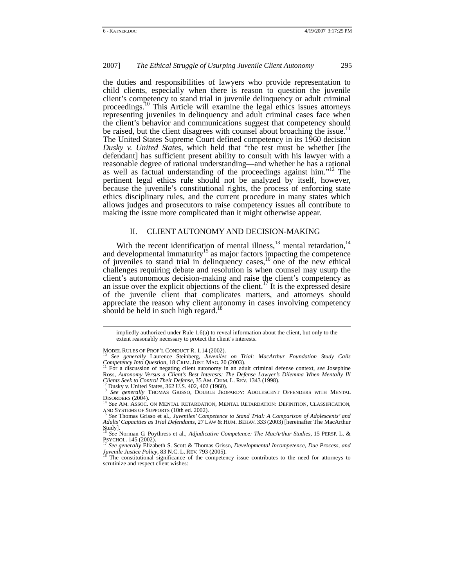the duties and responsibilities of lawyers who provide representation to child clients, especially when there is reason to question the juvenile client's competency to stand trial in juvenile delinquency or adult criminal proceedings.<sup>10</sup> This Article will examine the legal ethics issues attorneys representing juveniles in delinquency and adult criminal cases face when the client's behavior and communications suggest that competency should be raised, but the client disagrees with counsel about broaching the issue.<sup>11</sup> The United States Supreme Court defined competency in its 1960 decision *Dusky v. United States*, which held that "the test must be whether [the defendant] has sufficient present ability to consult with his lawyer with a reasonable degree of rational understanding—and whether he has a rational as well as factual understanding of the proceedings against him."12 The pertinent legal ethics rule should not be analyzed by itself, however, because the juvenile's constitutional rights, the process of enforcing state ethics disciplinary rules, and the current procedure in many states which allows judges and prosecutors to raise competency issues all contribute to making the issue more complicated than it might otherwise appear.

## II. CLIENT AUTONOMY AND DECISION-MAKING

With the recent identification of mental illness,  $^{13}$  mental retardation,  $^{14}$ and developmental immaturity<sup>15</sup> as major factors impacting the competence of juveniles to stand trial in delinquency cases, $\frac{16}{6}$  one of the new ethical challenges requiring debate and resolution is when counsel may usurp the client's autonomous decision-making and raise the client's competency as an issue over the explicit objections of the client.<sup>17</sup> It is the expressed desire of the juvenile client that complicates matters, and attorneys should appreciate the reason why client autonomy in cases involving competency should be held in such high regard.<sup>18</sup>

impliedly authorized under Rule 1.6(a) to reveal information about the client, but only to the extent reasonably necessary to protect the client's interests.

MODEL RULES OF PROF'L CONDUCT R. 1.14 (2002).<br><sup>10</sup> *See generally* Laurence Steinberg, *Juveniles on Trial: MacArthur Foundation Study Calls Competency Into Question*, 18 CRIM. JUST. MAG. 20 (2003). <sup>11</sup> For a discussion of negating client autonomy in an adult criminal defense context, *see* Josephine

Ross, *Autonomy Versus a Client's Best Interests: The Defense Lawyer's Dilemma When Mentally Ill Clients Seek to Control Their Defense, 35 AM. CRIM. L. REV. 1343 (1998).*<br><sup>12</sup> Dusky v. United States, 362 U.S. 402, 402 (196

<sup>13</sup> See generally THOMAS GRISSO, DOUBLE JEOPARDY: ADOLESCENT OFFENDERS WITH MENTAL<br>DISORDERS (2004).<br><sup>14</sup> See AM ASSOC ON MENTAL BETAPD 4TOM MENTAL PERSON DESCRIPTION OF A 1970 COMPANY PROGRAM ASSOC

<sup>&</sup>lt;sup>14</sup> See AM. ASSOC. ON MENTAL RETARDATION, MENTAL RETARDATION: DEFINITION, CLASSIFICATION,<br>AND SYSTEMS OF SUPPORTS (10th ed. 2002).<br><sup>15</sup> See Thomas Grisso at al. *Lan and Lan Company Company* Company Company Company Compan

AND SYSTEMS OF SUPPORTS (10th ed. 2002).<br><sup>15</sup> See Thomas Grisso et al., Juveniles' Competence to Stand Trial: A Comparison of Adolescents' and<br>Adults' Capacities as Trial Defendants, 27 LAW & HUM. BEHAV. 333 (2003) [herein Study].

<sup>16</sup> *See* Norman G. Poythress et al., *Adjudicative Competence: The MacArthur Studies*, 15 PERSP. L. & PSYCHOL. 145 (2002).<br><sup>17</sup> See generally Elizabeth S. Scott & Thomas Grisso, *Developmental Incompetence, Due Process, and* 

*Juvenile Justice Policy*, 83 N.C. L. REV. 793 (2005). <sup>18</sup> The constitutional significance of the competency issue contributes to the need for attorneys to

scrutinize and respect client wishes: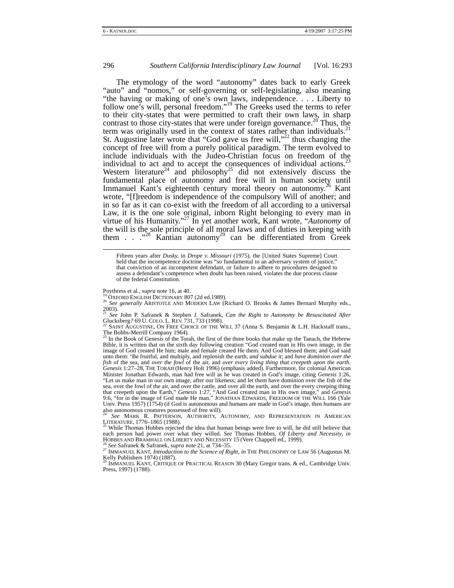The etymology of the word "autonomy" dates back to early Greek "auto" and "nomos," or self-governing or self-legislating, also meaning "the having or making of one's own laws, independence. . . . Liberty to follow one's will, personal freedom."19 The Greeks used the terms to refer to their city-states that were permitted to craft their own laws, in sharp contrast to those city-states that were under foreign governance.<sup>20</sup> Thus, the term was originally used in the context of states rather than individuals. $^{21}$ St. Augustine later wrote that "God gave us free will," $^{22}$  thus changing the concept of free will from a purely political paradigm. The term evolved to include individuals with the Judeo-Christian focus on freedom of the individual to act and to accept the consequences of individual actions.<sup>23</sup> Western literature<sup>24</sup> and philosophy<sup>25</sup> did not extensively discuss the fundamental place of autonomy and free will in human society until Immanuel Kant's eighteenth century moral theory on autonomy.<sup>26</sup> Kant wrote, "[f]reedom is independence of the compulsory Will of another; and in so far as it can co-exist with the freedom of all according to a universal Law, it is the one sole original, inborn Right belonging to every man in virtue of his Humanity."27 In yet another work, Kant wrote, "*Autonomy* of the will is the sole principle of all moral laws and of duties in keeping with them  $\ldots$  . . ..<sup>228</sup> Kantian autonomy<sup>29</sup> can be differentiated from Greek

Poythress et al., *supra* note 16, at 40.<br><sup>19</sup> OXFORD ENGLISH DICTIONARY 807 (2d ed.1989). 20 *See generally ARISTOTLE AND MODERN LAW (Richard O. Brooks & James Bernard Murphy eds.,* 2003). <sup>21</sup> *See* John P. Safranek & Stephen J. Safranek, *Can the Right to Autonomy be Resuscitated After* 

Glucksberg*?* 69 U. COLO. L. REV. 731, 733 (1998).<br><sup>22</sup> SAINT AUGUSTINE, ON FREE CHOICE OF THE WILL 37 (Anna S. Benjamin & L.H. Hackstaff trans.,

The Bobbs-Merrill Company 1964). 23 In the Book of Genesis of the Torah, the first of the three books that make up the Tanach, the Hebrew

Bible, it is written that on the sixth day following creation "God created man in His own image, in the image of God created He him; male and female created He them. And God blessed them; and God said unto them: 'Be fruitful, and multiply, and replenish the earth, *and subdue it*; and *have dominion over the fish* of the sea, and *over the fowl* of the air, and *over every living thing that creepeth upon the earth*. *Genesis* 1:27–28, THE TORAH (Henry Holt 1996) (emphasis added). Furthermore, for colonial American Minister Jonathan Edwards, man had free will as he was created in God's image, citing *Genesis* 1:26, "Let us make man in our own image, after our likeness; and let them have dominion over the fish of the sea, over the fowl of the air, and over the cattle, and over all the earth, and over the every creeping thing that creepeth upon the Earth," *Genesis* 1:27, "And God created man in His own image," and *Genesis* 9:6, "for in the image of God made He man." JONATHAN EDWARDS, FREEDOM OF THE WILL 166 (Yale Univ. Press 1957) (1754) (if God is autonomous and humans are made in God's image, then humans are also autonomous creatures possessed of free will). <sup>24</sup> *See* MARK R. PATTERSON, AUTHORITY, AUTONOMY, AND REPRESENTATION IN AMERICAN

LITERATURE, 1776–1865 (1988).<br><sup>25</sup> While Thomas Hobbes rejected the idea that human beings were free to will, he did still believe that

<sup>25</sup> While Thomas Hobbes rejected the idea that human beings were free to will, he did still believe that each person had power over what they willed. *See* Thomas Hobbes, *Of Liberty and Necessity*, *in* HOBBES AND BRAMHA

<sup>26</sup> See Safranek & Safranek, *supra* note 21, at 734–35.<br><sup>27</sup> IMMANUEL KANT, *Introduction to the Science of Right*, *in* THE PHILOSOPHY OF LAW 56 (Augustus M. Kelly Publishers 1974) (1887).<br><sup>28</sup> IMMANUEL KANT, CRITIQUE OF PRACTICAL REASON 30 (Mary Gregor trans. & ed., Cambridge Univ.

Press, 1997) (1788).

Fifteen years after *Dusky,* in *Drope v. Missouri* (1975), the [United States Supreme] Court held that the incompetence doctrine was "so fundamental to an adversary system of justice," that conviction of an incompetent defendant, or failure to adhere to procedures designed to assess a defendant's competence when doubt has been raised, violates the due process clause of the federal Constitution.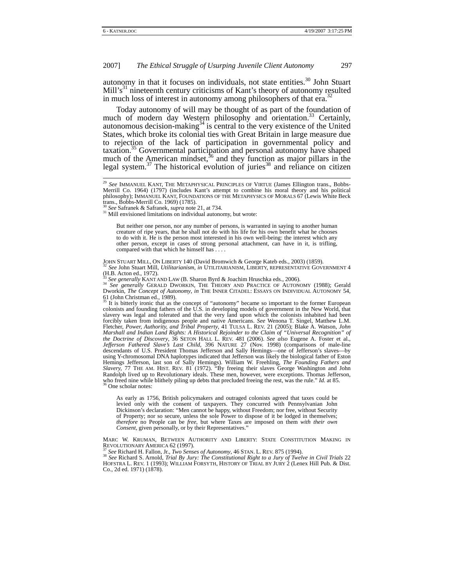autonomy in that it focuses on individuals, not state entities.<sup>30</sup> John Stuart Mill' $s<sup>31</sup>$  nineteenth century criticisms of Kant's theory of autonomy resulted in much loss of interest in autonomy among philosophers of that era.

Today autonomy of will may be thought of as part of the foundation of much of modern day Western philosophy and orientation.<sup>33</sup> Certainly, autonomous decision-making $34$  is central to the very existence of the United States, which broke its colonial ties with Great Britain in large measure due to rejection of the lack of participation in governmental policy and taxation.<sup>35</sup> Governmental participation and personal autonomy have shaped much of the American mindset,<sup>36</sup> and they function as major pillars in the legal system.<sup>37</sup> The historical evolution of juries<sup>38</sup> and reliance on citizen

As early as 1756, British policymakers and outraged colonists agreed that taxes could be levied only with the consent of taxpayers. They concurred with Pennsylvanian John Dickinson's declaration: "Men cannot be happy, without Freedom; nor free, without Security of Property; nor so secure, unless the sole Power to dispose of it be lodged in themselves; *therefore* no People can be *free*, but where Taxes are imposed on them *with their own Consent*, given personally, or by their Representatives."

MARC W. KRUMAN, BETWEEN AUTHORITY AND LIBERTY: STATE CONSTITUTION MAKING IN REVOLUTIONARY AMERICA 62 (1997).

<sup>37</sup> See Richard H. Fallon, Jr., *Two Senses of Autonomy*, 46 STAN. L. REV. 875 (1994).<br><sup>38</sup> See Richard S. Arnold, *Trial By Jury: The Constitutional Right to a Jury of Twelve in Civil Trials* 22 HOFSTRA L. REV. 1 (1993); WILLIAM FORSYTH, HISTORY OF TRIAL BY JURY 2 (Lenex Hill Pub. & Dist. Co., 2d ed. 1971) (1878).

<sup>&</sup>lt;sup>29</sup> See IMMANUEL KANT, THE METAPHYSICAL PRINCIPLES OF VIRTUE (James Ellington trans., Bobbs-Merrill Co. 1964) (1797) (includes Kant's attempt to combine his moral theory and his political philosophy); IMMANUEL KANT, FOUNDATIONS OF THE METAPHYSICS OF MORALS 67 (Lewis White Beck trans., Bobbs-Merrill Co. 1969) (1785).<br> $^{30}$  See Safranek & Safranek, *supra* note 21, at 734.

<sup>&</sup>lt;sup>31</sup> Mill envisioned limitations on individual autonomy, but wrote:

But neither one person, nor any number of persons, is warranted in saying to another human creature of ripe years, that he shall not do with his life for his own benefit what he chooses to do with it. He is the person most interested in his own well-being: the interest which any other person, except in cases of strong personal attachment, can have in it, is trifling, compared with that which he himself has .

JOHN STUART MILL, ON LIBERTY 140 (David Bromwich & George Kateb eds., 2003) (1859).<br><sup>32</sup> *See* John Stuart Mill, *Utilitarianism, in* UTILITARIANISM, LIBERTY, REPRESENTATIVE GOVERNMENT 4

<sup>(</sup>H.B. Acton ed., 1972).

<sup>&</sup>lt;sup>33</sup> See generally KANT AND LAW (B. Sharon Byrd & Joachim Hruschka eds., 2006).<br><sup>34</sup> See generally GERALD DWORKIN, THE THEORY AND PRACTICE OF AUTONOMY (1988); Gerald Dworkin, *The Concept of Autonomy*, *in* THE INNER CITADEL: ESSAYS ON INDIVIDUAL AUTONOMY 54, 61 (John Christman ed., 1989).

It is bitterly ironic that as the concept of "autonomy" became so important to the former European colonists and founding fathers of the U.S. in developing models of government in the New World, that slavery was legal and tolerated and that the very land upon which the colonists inhabited had been forcibly taken from indigenous people and native Americans. *See* Wenona T. Singel, Matthew L.M. Fletcher, *Power, Authority, and Tribal Property*, 41 TULSA L. REV. 21 (2005); Blake A. Watson, *John Marshall and Indian Land Rights: A Historical Rejoinder to the Claim of "Universal Recognition" of the Doctrine of Discovery*, 36 SETON HALL L. REV. 481 (2006). *See also* Eugene A. Foster et al., *Jefferson Fathered Slave's Last Child*, 396 NATURE 27 (Nov. 1998) (comparisons of male-line descendants of U.S. President Thomas Jefferson and Sally Hemings—one of Jefferson's slaves—by using Y-chromosomal DNA haplotypes indicated that Jefferson was likely the biological father of Eston Hemings Jefferson, last son of Sally Hemings). William W. Freehling, *The Founding Fathers and Slavery,* 77 THE AM. HIST. REV. 81 (1972). "By freeing their slaves George Washington and John Randolph lived up to Revolutionary ideals. These men, however, were exceptions. Thomas Jefferson, who freed nine while blithely piling up debts that precluded freeing the rest, was the rule." *Id.* at 85. <sup>36</sup> One scholar notes: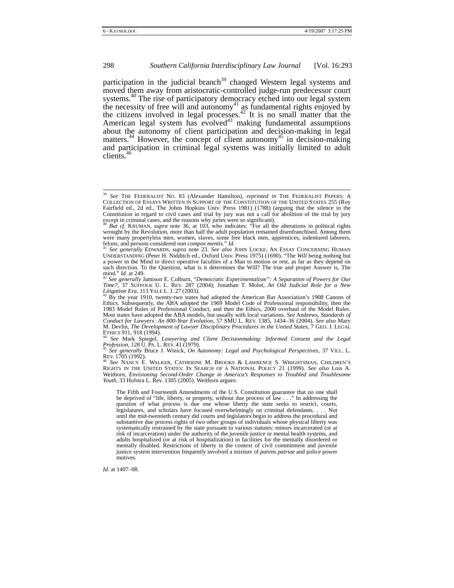participation in the judicial branch<sup>39</sup> changed Western legal systems and moved them away from aristocratic-controlled judge-run predecessor court systems.<sup>40</sup> The rise of participatory democracy etched into our legal system the necessity of free will and autonomy<sup>41</sup> as fundamental rights enjoyed by the citizens involved in legal processes.<sup>42</sup> It is no small matter that the American legal system has evolved $43$  making fundamental assumptions about the autonomy of client participation and decision-making in legal matters.<sup>44</sup> However, the concept of client autonomy<sup>45</sup> in decision-making and participation in criminal legal systems was initially limited to adult clients.<sup>46</sup>

Eee Mark Spiegel, *Lawyering and Client Decisionmaking: Informed Consent and the Legal* 

*Profession*, 128 U. PA. L. REV. 41 (1979).<br><sup>45</sup> *See generally* Bruce J. Winick, *On Autonomy: Legal and Psychological Perspectives*, 37 VILL. L.<br>REV. 1705 (1992).

REV. 1705 (1992). 46 *See* NANCY E. WALKER, CATHERINE M. BROOKS & LAWRENCE S. WRIGHTSMAN, CHILDREN'S RIGHTS IN THE UNITED STATES: IN SEARCH OF A NATIONAL POLICY 21 (1999). *See also* Lois A. Weithorn, *Envisioning Second-Order Change in America's Responses to Troubled and Troublesome Youth*, 33 Hofstra L. Rev. 1305 (2005). Weithorn argues:

The Fifth and Fourteenth Amendments of the U.S. Constitution guarantee that no one shall be deprived of "life, liberty, or property, without due process of law . . ." In addressing the question of what process is due one whose liberty the state seeks to restrict, courts, legislatures, and scholars have focused overwhelmingly on criminal defendants. . . . Not until the mid-twentieth century did courts and legislators begin to address the procedural and substantive due process rights of two other groups of individuals whose physical liberty was systematically restrained by the state pursuant to various statutes: minors incarcerated (or at risk of incarceration) under the authority of the juvenile justice or mental health systems, and adults hospitalized (or at risk of hospitalization) in facilities for the mentally disordered or mentally disabled. Restrictions of liberty in the context of civil commitment and juvenile justice system intervention frequently involved a mixture of *parens patriae* and police power motives.

*Id.* at 1407–08.

 <sup>39</sup> *See* THE FEDERALIST NO. <sup>83</sup> (Alexander Hamilton)*, reprinted in* THE FEDERALIST PAPERS: <sup>A</sup> COLLECTION OF ESSAYS WRITTEN IN SUPPORT OF THE CONSTITUTION OF THE UNITED STATES 255 (Roy Fairfield ed., 2d ed., The Johns Hopkins Univ. Press 1981) (1788) (arguing that the silence in the Constitution in regard to civil cases and trial by jury was not a call for abolition of the trial by jury except in criminal cases, and the reasons why juries were so significant).<br><sup>40</sup> *But cf.* KRUMAN, *supra* note 36, at 103, who indicates: "For all the alterations in political rights

wrought by the Revolution, more than half the adult population remained disenfranchised. Among them were many propertyless men, women, slaves, some free black men, apprentices, indentured laborers, felons, and persons considered *non compos mentis." Id.*<br><sup>41</sup> See generally EDWARDS, supra note 23. See also JOHN LOCKE, A

<sup>&</sup>lt;sup>41</sup> See generally EDWARDS, supra note 23. See also JOHN LOCKE, AN ESSAY CONCERNING HUMAN UNDERSTANDING (Peter H. Nidditch ed., Oxford Univ. Press 1975) (1690). "The *Will* being nothing but a power in the Mind to direct operative faculties of a Man to motion or rest, as far as they depend on such direction. To the Question, what is it determines the Will? The true and proper Answer is, The  $\frac{1}{4}$  and." Id. at 249.

mind." *Id.* at 249. 42 *See generally* Jamison E. Colburn, "*Democratic Experimentalism": A Separation of Powers for Our Time?*, 37 SUFFOLK U. L. REV. 287 (2004); Jonathan T. Molot, *An Old Judicial Role for a New Litigation Era*, 113 YALE L. J. 27 (2003). <sup>43</sup> By the year 1910, twenty-two states had adopted the American Bar Association's 1908 Canons of

Ethics. Subsequently, the ABA adopted the 1969 Model Code of Professional responsibility, then the 1983 Model Rules of Professional Conduct, and then the Ethics, 2000 overhaul of the Model Rules. Most states have adopted the ABA models, but usually with local variations. *See* Andrews, *Standards of Conduct for Lawyers: An 800-Year Evolution*, 57 SMU L. REV. 1385, 1434–36 (2004). *See also* Mary M. Devlin, *The Development of Lawyer Disciplinary Procedures in the United States*, 7 GEO. J. LEGAL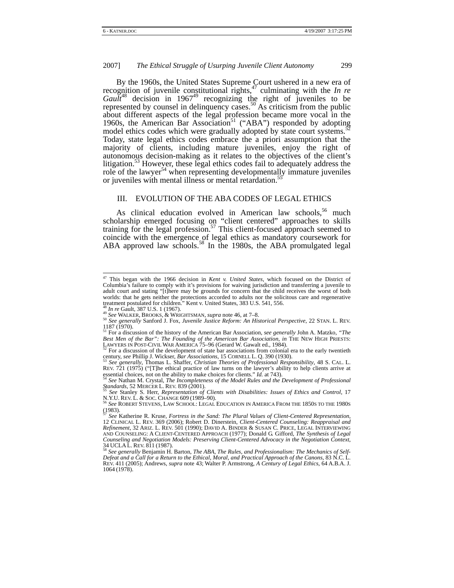By the 1960s, the United States Supreme Court ushered in a new era of recognition of juvenile constitutional rights,<sup>47</sup> culminating with the *In re*  $Gau\tilde{t}^{48}$  decision in 1967<sup>49</sup> recognizing the right of juveniles to be represented by counsel in delinquency cases.<sup>50</sup> As criticism from the public about different aspects of the legal profession became more vocal in the 1960s, the American Bar Association<sup>51</sup> ("ABA") responded by adopting model ethics codes which were gradually adopted by state court systems.<sup>5</sup> Today, state legal ethics codes embrace the a priori assumption that the majority of clients, including mature juveniles, enjoy the right of autonomous decision-making as it relates to the objectives of the client's litigation.<sup>53</sup> However, these legal ethics codes fail to adequately address the role of the lawyer<sup>54</sup> when representing developmentally immature juveniles or juveniles with mental illness or mental retardation.<sup>5</sup>

#### III. EVOLUTION OF THE ABA CODES OF LEGAL ETHICS

As clinical education evolved in American law schools,<sup>56</sup> much scholarship emerged focusing on "client centered" approaches to skills training for the legal profession.<sup>57</sup> This client-focused approach seemed to coincide with the emergence of legal ethics as mandatory coursework for ABA approved law schools.<sup>58</sup> In the 1980s, the ABA promulgated legal

 <sup>47</sup> This began with the 1966 decision in *Kent v. United States*, which focused on the District of Columbia's failure to comply with it's provisions for waiving jurisdiction and transferring a juvenile to adult court and stating "[t]here may be grounds for concern that the child receives the worst of both worlds: that he gets neither the protections accorded to adults nor the solicitous care and regenerative treatment postulated for children." Kent v. United States,  $383 \text{ U.S. } 541, 556$ .<br> $48 \text{ In } re \text{ Gault, } 387 \text{ U.S. } 1 \text{ (1967)}.$ 

<sup>&</sup>lt;sup>41</sup> See WALKER, BROOKS, & WRIGHTSMAN, *supra* note 46, at 7–8.<br><sup>50</sup> See WALKER, BROOKS, & WRIGHTSMAN, *supra* note 46, at 7–8.<br><sup>50</sup> See generally Sanford J. Fox, *Juvenile Justice Reform: An Historical Perspective*, 22 S 1187 (1970). 51 For a discussion of the history of the American Bar Association, *see generally* John A. Matzko, *"The* 

Best Men of the Bar": The Founding of the American Bar Association, in THE NEW HIGH PRIESTS:

LAWYERS IN POST-CIVIL WAR AMERICA 75–96 (Gerard W. Gawalt ed., 1984).  $52$  For a discussion of the development of state bar associations from colonial era to the early twentieth century, *see* Phillip J. Wickser, *Bar Ass* 

See generally, Thomas L. Shaffer, *Christian Theories of Professional Responsibility*, 48 S. CAL. L. REV. 721 (1975) ("[T]he ethical practice of law turns on the lawyer's ability to help clients arrive at essential choices for clients." Id. at 743).

<sup>&</sup>lt;sup>54</sup> See Nathan M. Crystal, *The Incompleteness of the Model Rules and the Development of Professional Standards*, 52 MERCER L. REV. 839 (2001).

*See* Stanley S. Herr, *Representation of Clients with Disabilities: Issues of Ethics and Control*, 17 N.Y.U. REV. L. & SOC. CHANGE 609 (1989–90).<br>
<sup>56</sup> *See* ROBERT STEVENS, LAW SCHOOL: LEGAL EDUCATION IN AMERICA FROM THE 1850S TO THE 1980S

 $(1983)$ .

<sup>57</sup> *See* Katherine R. Kruse, *Fortress in the Sand: The Plural Values of Client-Centered Representation*, 12 CLINICAL L. REV. 369 (2006); Robert D. Dinerstein, *Client-Centered Counseling: Reappraisal and Refinement*, 32 ARIZ. L. REV. 501 (1990); DAVID A. BINDER & SUSAN C. PRICE, LEGAL INTERVIEWING AND COUNSELING: A CLIENT-CENTERED APPROACH (1977); Donald G. Gifford, *The Synthesis of Legal Counseling and Negotiation Models: Preserving Client-Centered Advocacy in the Negotiation Context*,

<sup>34</sup> UCLA L. REV. 811 (1987).<br><sup>58</sup> See generally Benjamin H. Barton, *The ABA, The Rules, and Professionalism: The Mechanics of Self-*<br>Defeat and a Call for a Return to the Ethical, Moral, and Practical Approach of the Canon REV. 411 (2005); Andrews, *supra* note 43; Walter P. Armstrong, *A Century of Legal Ethics*, 64 A.B.A. J. 1064 (1978).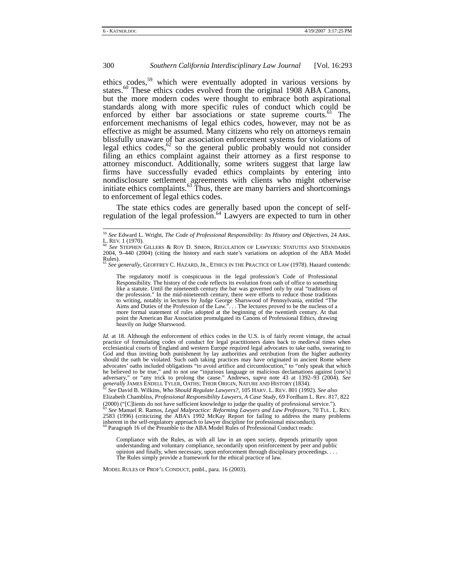ethics codes,<sup>59</sup> which were eventually adopted in various versions by states.<sup>60</sup> These ethics codes evolved from the original 1908 ABA Canons, but the more modern codes were thought to embrace both aspirational standards along with more specific rules of conduct which could be enforced by either bar associations or state supreme courts.<sup>61</sup> The enforcement mechanisms of legal ethics codes, however, may not be as effective as might be assumed. Many citizens who rely on attorneys remain blissfully unaware of bar association enforcement systems for violations of legal ethics codes,  $62$  so the general public probably would not consider filing an ethics complaint against their attorney as a first response to attorney misconduct. Additionally, some writers suggest that large law firms have successfully evaded ethics complaints by entering into nondisclosure settlement agreements with clients who might otherwise initiate ethics complaints. $63$  Thus, there are many barriers and shortcomings to enforcement of legal ethics codes.

The state ethics codes are generally based upon the concept of selfregulation of the legal profession.<sup>64</sup> Lawyers are expected to turn in other

The regulatory motif is conspicuous in the legal profession's Code of Professional Responsibility. The history of the code reflects its evolution from oath of office to something like a statute. Until the nineteenth century the bar was governed only by oral "traditions of the profession." In the mid-nineteenth century, there were efforts to reduce those traditions to writing, notably in lectures by Judge George Sharswood of Pennsylvania, entitled "The Aims and Duties of the Profession of the Law.". . . The lectures proved to be the nucleus of a more formal statement of rules adopted at the beginning of the twentieth century. At that point the American Bar Association promulgated its Canons of Professional Ethics, drawing heavily on Judge Sharswood.

*Id.* at 18. Although the enforcement of ethics codes in the U.S. is of fairly recent vintage, the actual practice of formulating codes of conduct for legal practitioners dates back to medieval times when ecclesiastical courts of England and western Europe required legal advocates to take oaths, swearing to God and thus inviting both punishment by lay authorities and retribution from the higher authority should the oath be violated. Such oath taking practices may have originated in ancient Rome where advocates' oaths included obligations "to avoid artifice and circumlocution," to "only speak that which he believed to be true," and to not use "injurious language or malicious declamations against [one's] adversary," or "any trick to prolong the cause." Andrews, *supra* note 43 at 1392–93 (2004). *See generally* JAMES ENDELL TYLER, OATHS; THEIR ORIGIN, NATURE AND HISTORY (1834). 62 *See* David B. Wilkins, *Who Should Regulate Lawyers?*, 105 HARV. L. REV. 801 (1992). *See also* 

(2000) ("[C]lients do not have sufficient knowledge to judge the quality of professional service."). 63 *See* Manuel R. Ramos, *Legal Malpractice: Reforming Lawyers and Law Professors*, 70 TUL. L. REV. 2583 (1996) (criticizing the ABA's 1992 McKay Report for failing to address the many problems inherent in the self-regulatory approach to lawyer discipline for professional misconduct).<br><sup>64</sup> Paragraph 16 of the Preamble to

Compliance with the Rules, as with all law in an open society, depends primarily upon understanding and voluntary compliance, secondarily upon reinforcement by peer and public opinion and finally, when necessary, upon enforcement through disciplinary proceedings. . . . The Rules simply provide a framework for the ethical practice of law.

MODEL RULES OF PROF'L CONDUCT, pmbl., para. 16 (2003).

<sup>&</sup>lt;sup>59</sup> *See* Edward L. Wright, *The Code of Professional Responsibility: Its History and Objectives, 24 ARK.*<br>L. REV. 1 (1970).<br><sup>60</sup> See STERUES CHAERS & ROV D. SD4ON, BEGULATION OF LAWERS: STATUTE AND STANDARDS.

L. REV. 1 (1970). 60 *See* STEPHEN GILLERS & ROY D. SIMON, REGULATION OF LAWYERS: STATUTES AND STANDARDS 2004, 9–440 (2004) (citing the history and each state's variations on adoption of the ABA Model Rules).

<sup>61</sup> *See generally*, GEOFFREY C. HAZARD, JR., ETHICS IN THE PRACTICE OF LAW (1978). Hazard contends:

Elizabeth Chambliss, *Professional Responsibility Lawyers, A Case Study*, 69 Fordham L. Rev. 817, 822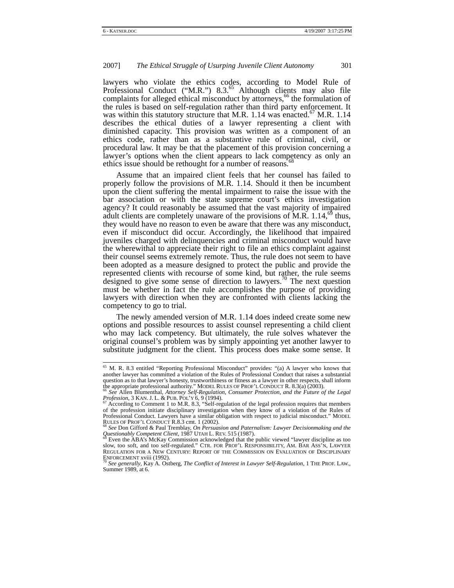lawyers who violate the ethics codes, according to Model Rule of Professional Conduct ("M.R.") 8.3.<sup>65</sup> Although clients may also file complaints for alleged ethical misconduct by attorneys,<sup>66</sup> the formulation of the rules is based on self-regulation rather than third party enforcement. It was within this statutory structure that M.R.  $1.14$  was enacted.<sup>67</sup> M.R.  $1.14$ describes the ethical duties of a lawyer representing a client with diminished capacity. This provision was written as a component of an ethics code, rather than as a substantive rule of criminal, civil, or procedural law. It may be that the placement of this provision concerning a lawyer's options when the client appears to lack competency as only an ethics issue should be rethought for a number of reasons.<sup>68</sup>

Assume that an impaired client feels that her counsel has failed to properly follow the provisions of M.R. 1.14. Should it then be incumbent upon the client suffering the mental impairment to raise the issue with the bar association or with the state supreme court's ethics investigation agency? It could reasonably be assumed that the vast majority of impaired adult clients are completely unaware of the provisions of M.R.  $1.14<sup>69</sup>$  thus, they would have no reason to even be aware that there was any misconduct, even if misconduct did occur. Accordingly, the likelihood that impaired juveniles charged with delinquencies and criminal misconduct would have the wherewithal to appreciate their right to file an ethics complaint against their counsel seems extremely remote. Thus, the rule does not seem to have been adopted as a measure designed to protect the public and provide the represented clients with recourse of some kind, but rather, the rule seems designed to give some sense of direction to lawyers.<sup>70</sup> The next question must be whether in fact the rule accomplishes the purpose of providing lawyers with direction when they are confronted with clients lacking the competency to go to trial.

The newly amended version of M.R. 1.14 does indeed create some new options and possible resources to assist counsel representing a child client who may lack competency. But ultimately, the rule solves whatever the original counsel's problem was by simply appointing yet another lawyer to substitute judgment for the client. This process does make some sense. It

 <sup>65</sup> M. R. 8.3 entitled "Reporting Professional Misconduct" provides: "(a) A lawyer who knows that another lawyer has committed a violation of the Rules of Professional Conduct that raises a substantial question as to that lawyer's honesty, trustworthiness or fitness as a lawyer in other respects, shall inform the appropriate professional authority." MODEL RULES OF PROF'L CONDUCT R. 8.3(a) (2003). 66 *See* Allen Blumenthal, *Attorney Self-Regulation, Consumer Protection, and the Future of the Legal* 

*Profession*, 3 KAN. J. L. & PUB. POL'Y 6, 9 (1994).<br>
<sup>67</sup> According to Comment 1 to M.R. 8.3, "Self-regulation of the legal profession requires that members<sup>67</sup>

of the profession initiate disciplinary investigation when they know of a violation of the Rules of Professional Conduct. Lawyers have a similar obligation with respect to judicial misconduct." MODEL<br>RULES OF PROF'L CONDUCT R.8.3 cm. 1 (2002).<br><sup>68</sup> See Don Gifford & Poul Transhlat.  $Q = R$ RULES OF PROF'L CONDUCT R.8.3 cmt. 1 (2002).<br><sup>68</sup> *See* Don Gifford & Paul Tremblay, *On Persuasion and Paternalism: Lawyer Decisionmaking and the* 

*Questionably Competent Client*, 1987 UTAH L. REV. <sup>515</sup> (1987). 69 Even the ABA's McKay Commission acknowledged that the public viewed "lawyer discipline as too

<sup>&</sup>lt;sup>ov</sup> Even the ABA's McKay Commission acknowledged that the public viewed "lawyer discipline as too slow, too soft, and too self-regulated." CTR. FOR PROF'L RESPONSIBILITY, AM. BAR ASS'N, LAWYER REGULATION FOR A NEW CENTURY: REPORT OF THE COMMISSION ON EVALUATION OF DISCIPLINARY ENFORCEMENT xviii (1992).<br><sup>70</sup> See generally, Kay A. Ostberg, *The Conflict of Interest in Lawyer Self-Regulation*, 1 THE PROF. LAW.,

Summer 1989, at 6.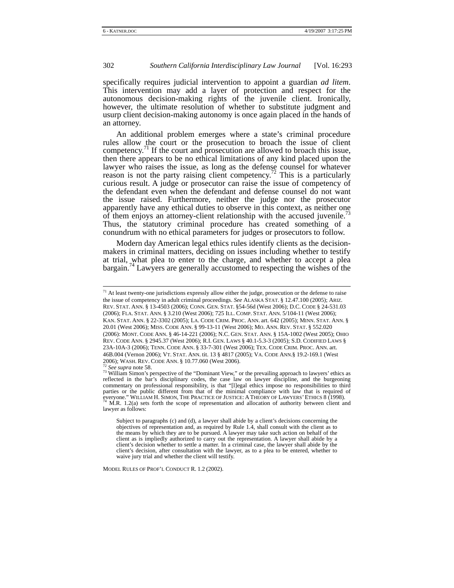specifically requires judicial intervention to appoint a guardian *ad litem*. This intervention may add a layer of protection and respect for the autonomous decision-making rights of the juvenile client. Ironically, however, the ultimate resolution of whether to substitute judgment and usurp client decision-making autonomy is once again placed in the hands of an attorney.

An additional problem emerges where a state's criminal procedure rules allow the court or the prosecution to broach the issue of client competency.<sup>71</sup> If the court and prosecution are allowed to broach this issue, then there appears to be no ethical limitations of any kind placed upon the lawyer who raises the issue, as long as the defense counsel for whatever reason is not the party raising client competency.<sup>72</sup> This is a particularly curious result. A judge or prosecutor can raise the issue of competency of the defendant even when the defendant and defense counsel do not want the issue raised. Furthermore, neither the judge nor the prosecutor apparently have any ethical duties to observe in this context, as neither one of them enjoys an attorney-client relationship with the accused juvenile.<sup>7</sup> Thus, the statutory criminal procedure has created something of a conundrum with no ethical parameters for judges or prosecutors to follow.

Modern day American legal ethics rules identify clients as the decisionmakers in criminal matters, deciding on issues including whether to testify at trial, what plea to enter to the charge, and whether to accept a plea bargain.74 Lawyers are generally accustomed to respecting the wishes of the

MODEL RULES OF PROF'L CONDUCT R. 1.2 (2002).

 $71$  At least twenty-one jurisdictions expressly allow either the judge, prosecution or the defense to raise the issue of competency in adult criminal proceedings. *See* ALASKA STAT. § 12.47.100 (2005); ARIZ. REV. STAT. ANN. § 13-4503 (2006); CONN. GEN. STAT. §54-56d (West 2006); D.C. CODE § 24-531.03 (2006); FLA. STAT. ANN. § 3.210 (West 2006); 725 ILL. COMP. STAT. ANN. 5/104-11 (West 2006); KAN. STAT. ANN. § 22-3302 (2005); LA. CODE CRIM. PROC. ANN. art. 642 (2005); MINN. STAT. ANN. § 20.01 (West 2006); MISS. CODE ANN. § 99-13-11 (West 2006); MO. ANN. REV. STAT. § 552.020 (2006): MONT. CODE ANN. § 46-14-221 (2006); N.C. GEN. STAT. ANN. § 15A-1002 (West 2005); OHIO REV. CODE ANN. § 2945.37 (West 2006); R.I. GEN. LAWS § 40.1-5.3-3 (2005); S.D. CODIFIED LAWS § 23A-10A-3 (2006); TENN. CODE ANN. § 33-7-301 (West 2006); TEX. CODE CRIM. PROC. ANN. art. 46B.004 (Vernon 2006); VT. STAT. ANN. tit. 13 § 4817 (2005); VA. CODE ANN.§ 19.2-169.1 (West

<sup>&</sup>lt;sup>22</sup> See *supra* note 58.<br><sup>73</sup> William Simon's perspective of the "Dominant View," or the prevailing approach to lawyers' ethics as reflected in the bar's disciplinary codes, the case law on lawyer discipline, and the burgeoning commentary on professional responsibility, is that "[l]egal ethics impose no responsibilities to third parties or the public different from that of the minimal compliance with law that is required of everyone." WILLIAM H. SIMON, THE PRACTICE OF JUSTICE: A THEORY OF LAWYERS' ETHICS 8 (1998). <sup>74</sup> M.R. 1.2(a) sets forth the scope of representation and allocation of authority between client and  $\frac{1}{2}$ lawyer as follows:

Subject to paragraphs (c) and (d), a lawyer shall abide by a client's decisions concerning the objectives of representation and, as required by Rule 1.4, shall consult with the client as to the means by which they are to be pursued. A lawyer may take such action on behalf of the client as is impliedly authorized to carry out the representation. A lawyer shall abide by a client's decision whether to settle a matter. In a criminal case, the lawyer shall abide by the client's decision, after consultation with the lawyer, as to a plea to be entered, whether to waive jury trial and whether the client will testify.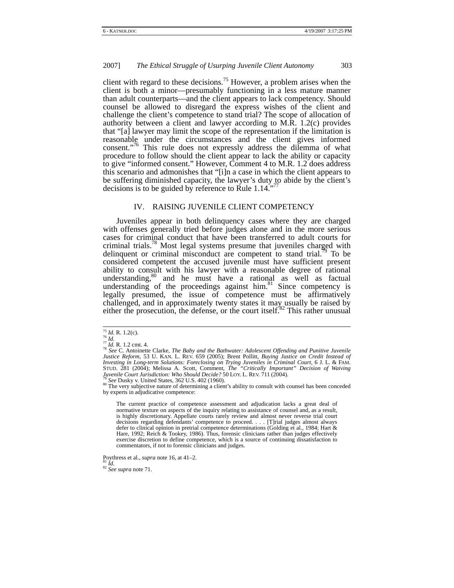client with regard to these decisions.<sup>75</sup> However, a problem arises when the client is both a minor—presumably functioning in a less mature manner than adult counterparts—and the client appears to lack competency. Should counsel be allowed to disregard the express wishes of the client and challenge the client's competence to stand trial? The scope of allocation of authority between a client and lawyer according to M.R. 1.2(c) provides that "[a] lawyer may limit the scope of the representation if the limitation is reasonable under the circumstances and the client gives informed consent."<sup>76</sup> This rule does not expressly address the dilemma of what procedure to follow should the client appear to lack the ability or capacity to give "informed consent." However, Comment 4 to M.R. 1.2 does address this scenario and admonishes that "[i]n a case in which the client appears to be suffering diminished capacity, the lawyer's duty to abide by the client's decisions is to be guided by reference to Rule  $1.14$ .

## IV. RAISING JUVENILE CLIENT COMPETENCY

Juveniles appear in both delinquency cases where they are charged with offenses generally tried before judges alone and in the more serious cases for criminal conduct that have been transferred to adult courts for criminal trials.<sup>78</sup> Most legal systems presume that juveniles charged with delinquent or criminal misconduct are competent to stand trial.<sup>79</sup> To be considered competent the accused juvenile must have sufficient present ability to consult with his lawyer with a reasonable degree of rational understanding, $80$  and he must have a rational as well as factual understanding of the proceedings against  $\lim_{n \to \infty}$ <sup>81</sup> Since competency is legally presumed, the issue of competence must be affirmatively challenged, and in approximately twenty states it may usually be raised by either the prosecution, the defense, or the court itself.<sup>82</sup> This rather unusual

<sup>75</sup> *Id.* R. 1.2(c). 76 *Id.*<sup>77</sup> *Id.* R. 1.2 cmt. 4. 78 *See* C. Antoinette Clarke, *The Baby and the Bathwater: Adolescent Offending and Punitive Juvenile Justice Reform*, 53 U. KAN. L. REV. 659 (2005); Brent Pollitt, *Buying Justice on Credit Instead of Investing in Long-term Solutions: Foreclosing on Trying Juveniles in Criminal Court*, 6 J. L. & FAM. STUD. 281 (2004); Melissa A. Scott, Comment, *The "Critically Important" Decision of Waiving Juvenile Court Jurisdiction: Who Should Decide?* 50 LOY. L. REV. 711 (2004).<br><sup>79</sup> *See* Dusky v. United States, 362 U.S. 402 (1960).<br><sup>80</sup> The very subjective nature of determining a client's ability to consult with couns

by experts in adjudicative competence:

The current practice of competence assessment and adjudication lacks a great deal of normative texture on aspects of the inquiry relating to assistance of counsel and, as a result, is highly discretionary. Appellate courts rarely review and almost never reverse trial court decisions regarding defendants' competence to proceed. . . . [T]rial judges almost always defer to clinical opinion in pretrial competence determinations (Golding et al., 1984; Hart & Hare, 1992; Reich & Tookey, 1986). Thus, forensic clinicians rather than judges effectively exercise discretion to define competence, which is a source of continuing dissatisfaction to commentators, if not to forensic clinicians and judges.

Poythress et al., *supra* note 16, at 41–2. 81 *Id.* <sup>82</sup> *See supra* note 71.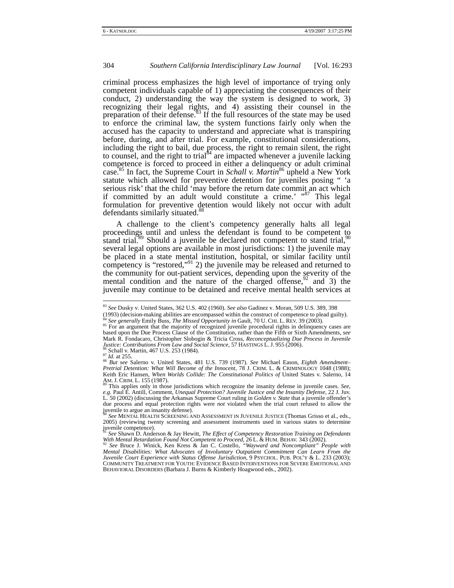criminal process emphasizes the high level of importance of trying only competent individuals capable of 1) appreciating the consequences of their conduct, 2) understanding the way the system is designed to work, 3) recognizing their legal rights, and 4) assisting their counsel in the preparation of their defense.<sup>83</sup> If the full resources of the state may be used to enforce the criminal law, the system functions fairly only when the accused has the capacity to understand and appreciate what is transpiring before, during, and after trial. For example, constitutional considerations, including the right to bail, due process, the right to remain silent, the right to counsel, and the right to trial<sup>84</sup> are impacted whenever a juvenile lacking competence is forced to proceed in either a delinquency or adult criminal case.85 In fact, the Supreme Court in *Schall v. Martin*86 upheld a New York statute which allowed for preventive detention for juveniles posing " 'a serious risk' that the child 'may before the return date commit an act which if committed by an adult would constitute a crime.' "<sup>87</sup> This legal formulation for preventive detention would likely not occur with adult defendants similarly situated.<sup>88</sup>

A challenge to the client's competency generally halts all legal proceedings until and unless the defendant is found to be competent to stand trial.<sup>89</sup> Should a juvenile be declared not competent to stand trial,<sup>90</sup> several legal options are available in most jurisdictions: 1) the juvenile may be placed in a state mental institution, hospital, or similar facility until competency is "restored,"<sup>91</sup> 2) the juvenile may be released and returned to the community for out-patient services, depending upon the severity of the mental condition and the nature of the charged offense,  $92$  and 3) the juvenile may continue to be detained and receive mental health services at

 <sup>83</sup> *See* Dusky v. United States, 362 U.S. 402 (1960). *See also* Gadinez v. Moran, 509 U.S. 389, 398

 $^{84}$  See generally Emily Buss, *The Missed Opportunity in* Gault, 70 U. CHI. L. REV. 39 (2003).<br><sup>85</sup> For an argument that the majority of recognized juvenile procedural rights in delinquency cases are based upon the Due Process Clause of the Constitution, rather than the Fifth or Sixth Amendments, *see*  Mark R. Fondacaro, Christopher Slobogin & Tricia Cross, *Reconceptualizing Due Process in Juvenile* 

<sup>&</sup>lt;sup>86</sup> Schall v. Martin, 467 U.S. 253 (1984).<br><sup>87</sup> Id. at 255.<br><sup>88</sup> But see Salerno v. United States, 481 U.S. 739 (1987). See Michael Eason, *Eighth Amendment*-*Pretrial Detention: What Will Become of the Innocent*, 78 J. CRIM. L. & CRIMINOLOGY 1048 (1988); Keith Eric Hansen, *When Worlds Collide: The Constitutional Politics of* United States v. Salerno, 14<br>AM. J. CRIM. L. 155 (1987).<br><sup>89</sup> This applies only in these invigibilities which is

This applies only in those jurisdictions which recognize the insanity defense in juvenile cases. *See*, *e.g.* Paul E. Antill, Comment, *Unequal Protection? Juvenile Justice and the Insanity Defense,* 22 J. Juv. L. 50 (2002) (discussing the Arkansas Supreme Court ruling in *Golden v. State* that a juvenile offender's due process and equal protection rights were *not* violated when the trial court refused to allow the juvenile to argue an insanity defense).

<sup>90</sup> *See* MENTAL HEALTH SCREENING AND ASSESSMENT IN JUVENILE JUSTICE (Thomas Grisso et al., eds., 2005) (reviewing twenty screening and assessment instruments used in various states to determine juvenile competence).

<sup>91</sup> *See* Shawn D. Anderson & Jay Hewitt, *The Effect of Competency Restoration Training on Defendants With Mental Retardation Found Not Competent to Proceed*, 26 L. & HUM. BEHAV. 343 (2002). <sup>92</sup> *See* Bruce J. Winick, Ken Kress & Jan C. Costello, *"Wayward and Noncompliant" People with* 

*Mental Disabilities: What Advocates of Involuntary Outpatient Commitment Can Learn From the Juvenile Court Experience with Status Offense Jurisdiction*, 9 PSYCHOL. PUB. POL'Y & L. 233 (2003); COMMUNITY TREATMENT FOR YOUTH: EVIDENCE BASED INTERVENTIONS FOR SEVERE EMOTIONAL AND BEHAVIORAL DISORDERS (Barbara J. Burns & Kimberly Hoagwood eds., 2002).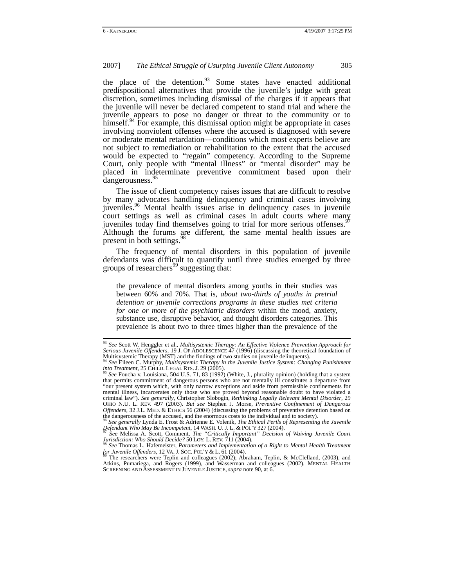the place of the detention.<sup>93</sup> Some states have enacted additional predispositional alternatives that provide the juvenile's judge with great discretion, sometimes including dismissal of the charges if it appears that the juvenile will never be declared competent to stand trial and where the juvenile appears to pose no danger or threat to the community or to himself. $94$  For example, this dismissal option might be appropriate in cases involving nonviolent offenses where the accused is diagnosed with severe or moderate mental retardation—conditions which most experts believe are not subject to remediation or rehabilitation to the extent that the accused would be expected to "regain" competency. According to the Supreme Court, only people with "mental illness" or "mental disorder" may be placed in indeterminate preventive commitment based upon their dangerousness.<sup>95</sup>

The issue of client competency raises issues that are difficult to resolve by many advocates handling delinquency and criminal cases involving juveniles.<sup>96</sup> Mental health issues arise in delinquency cases in juvenile court settings as well as criminal cases in adult courts where many juveniles today find themselves going to trial for more serious offenses.<sup>9</sup> Although the forums are different, the same mental health issues are present in both settings.<sup>9</sup>

The frequency of mental disorders in this population of juvenile defendants was difficult to quantify until three studies emerged by three groups of researchers<sup>99</sup> suggesting that:

the prevalence of mental disorders among youths in their studies was between 60% and 70%. That is, *about two-thirds of youths in pretrial detention or juvenile corrections programs in these studies met criteria for one or more of the psychiatric disorders* within the mood, anxiety, substance use, disruptive behavior, and thought disorders categories. This prevalence is about two to three times higher than the prevalence of the

 <sup>93</sup> *See* Scott W. Henggler et al., *Multisystemic Therapy: An Effective Violence Prevention Approach for Serious Juvenile Offenders*, 19 J. OF ADOLESCENCE 47 (1996) (discussing the theoretical foundation of Multisystemic Therapy (MST) and the findings of two studies on juvenile delinquents). 94 *See* Eileen C. Murphy, *Multisystemic Therapy in the Juvenile Justice System: Changing Punishment* 

*into Treatment*, 25 CHILD. LEGAL RTS. J. 29 (2005). *into Treatment*, 25 CHILD. LEGAL RTS. J. 29 (2005). *pdf of the Street planet* value of the *Street planet* value of the *Street planet* value of the *Street planet* 

that permits commitment of dangerous persons who are not mentally ill constitutes a departure from "our present system which, with only narrow exceptions and aside from permissible confinements for mental illness, incarcerates only those who are proved beyond reasonable doubt to have violated a criminal law"). *See generally*, Christopher Slobogin, *Rethinking Legally Relevant Mental Disorder*, 29 OHIO N.U. L. REV. 497 (2003). *But see* Stephen J. Morse, *Preventive Confinement of Dangerous Offenders*, 32 J.L. MED. & ETHICS 56 (2004) (discussing the problems of preventive detention based on

the dangerousness of the accused, and the enormous costs to the individual and to society).<br><sup>96</sup> *See generally* Lynda E. Frost & Adrienne E. Volenik, *The Ethical Perils of Representing the Juvenile*<br>*Defendant Who May Be Defendant Who May Be Incompetent*, 14 WASH. U. J. L. & POL'Y 327 (2004).<br><sup>97</sup> *See* Melissa A. Scott, Comment, *The "Critically Important" Decision of Waiving Juvenile Court* 

*Jurisdiction: Who Should Decide?* 50 LOY. L. REV. 711 (2004).<br><sup>98</sup> *See* Thomas L. Hafemeister, *Parameters and Implementation of a Right to Mental Health Treatment* 

*for Juvenile Offenders*, 12 VA. J. SOC. POL'Y & L. 61 (2004).<br><sup>99</sup> The researchers were Teplin and colleagues (2002); Abraham, Teplin, & McClelland, (2003), and Atkins, Pumariega, and Rogers (1999), and Wasserman and colleagues (2002). MENTAL HEALTH SCREENING AND ASSESSMENT IN JUVENILE JUSTICE, *supra* note 90, at 6.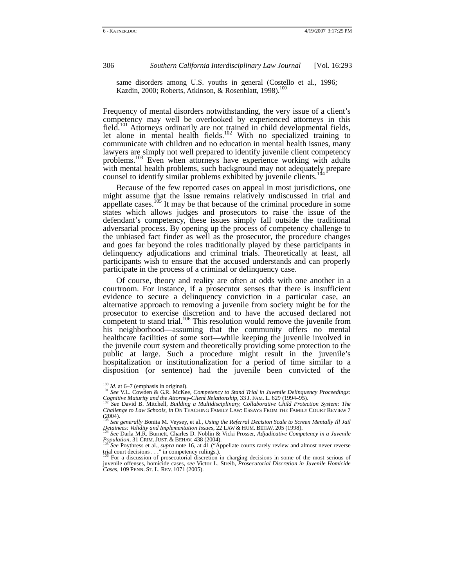same disorders among U.S. youths in general (Costello et al., 1996; Kazdin, 2000; Roberts, Atkinson, & Rosenblatt, 1998).<sup>100</sup>

Frequency of mental disorders notwithstanding, the very issue of a client's competency may well be overlooked by experienced attorneys in this field.<sup>101</sup> Attorneys ordinarily are not trained in child developmental fields, let alone in mental health fields.<sup>102</sup> With no specialized training to communicate with children and no education in mental health issues, many lawyers are simply not well prepared to identify juvenile client competency problems.103 Even when attorneys have experience working with adults with mental health problems, such background may not adequately prepare counsel to identify similar problems exhibited by juvenile clients.

Because of the few reported cases on appeal in most jurisdictions, one might assume that the issue remains relatively undiscussed in trial and appellate cases.<sup>105</sup> It may be that because of the criminal procedure in some states which allows judges and prosecutors to raise the issue of the defendant's competency, these issues simply fall outside the traditional adversarial process. By opening up the process of competency challenge to the unbiased fact finder as well as the prosecutor, the procedure changes and goes far beyond the roles traditionally played by these participants in delinquency adjudications and criminal trials. Theoretically at least, all participants wish to ensure that the accused understands and can properly participate in the process of a criminal or delinquency case.

Of course, theory and reality are often at odds with one another in a courtroom. For instance, if a prosecutor senses that there is insufficient evidence to secure a delinquency conviction in a particular case, an alternative approach to removing a juvenile from society might be for the prosecutor to exercise discretion and to have the accused declared not competent to stand trial.<sup>106</sup> This resolution would remove the juvenile from his neighborhood—assuming that the community offers no mental healthcare facilities of some sort—while keeping the juvenile involved in the juvenile court system and theoretically providing some protection to the public at large. Such a procedure might result in the juvenile's hospitalization or institutionalization for a period of time similar to a disposition (or sentence) had the juvenile been convicted of the

<sup>&</sup>lt;sup>100</sup> *Id.* at 6–7 (emphasis in original).<br><sup>101</sup> *See* V.L. Cowden & G.R. McKee, *Competency to Stand Trial in Juvenile Delinquency Proceedings: Cognitive Maturity and the Attorney-Client Relationship*, 33 J. FAM. L. 629 (1994–95).<br><sup>102</sup> See David B. Mitchell, *Building a Multidisciplinary, Collaborative Child Protection System: The* <sup>102</sup> See David B. Mitchell,

*Challenge to Law Schools, in* ON TEACHING FAMILY LAW: ESSAYS FROM THE FAMILY COURT REVIEW 7 (2004). <sup>103</sup> *See generally* Bonita M. Veysey, et al., *Using the Referral Decision Scale to Screen Mentally Ill Jail* 

*Detainees: Validity and Implementation Issues*, 22 LAW & HUM. BEHAV. 205 (1998).<br><sup>104</sup> *See* Darla M.R. Burnett, Charles D. Noblin & Vicki Prosser, *Adjudicative Competency in a Juvenile*<br>*Population*, 31 CRIM. JUST. & BE

*Population*, 31 CRIM. JUST. & BEHAV. 438 (2004).<br><sup>105</sup> *See* Poythress et al., *supra* note 16, at 41 ("Appellate courts rarely review and almost never reverse trial court decisions . . ." in competency rulings.).<br><sup>106</sup>

juvenile offenses, homicide cases, *see* Victor L. Streib, *Prosecutorial Discretion in Juvenile Homicide Cases,* 109 PENN. ST. L. REV. 1071 (2005).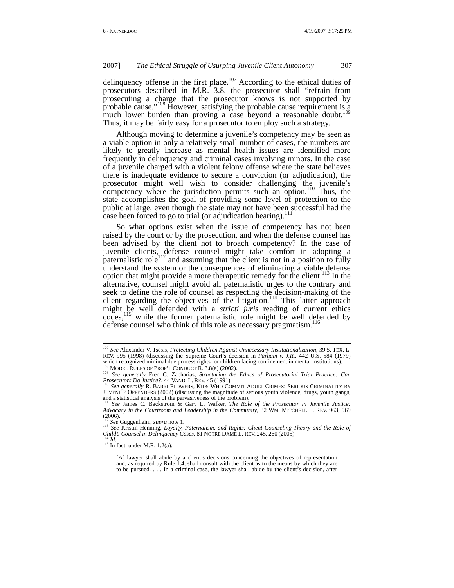delinquency offense in the first place.<sup>107</sup> According to the ethical duties of prosecutors described in M.R. 3.8, the prosecutor shall "refrain from prosecuting a charge that the prosecutor knows is not supported by probable cause."<sup>108</sup> However, satisfying the probable cause requirement is a much lower burden than proving a case beyond a reasonable doubt.<sup>1</sup> Thus, it may be fairly easy for a prosecutor to employ such a strategy.

Although moving to determine a juvenile's competency may be seen as a viable option in only a relatively small number of cases, the numbers are likely to greatly increase as mental health issues are identified more frequently in delinquency and criminal cases involving minors. In the case of a juvenile charged with a violent felony offense where the state believes there is inadequate evidence to secure a conviction (or adjudication), the prosecutor might well wish to consider challenging the juvenile's competency where the jurisdiction permits such an option.<sup>110</sup> Thus, the state accomplishes the goal of providing some level of protection to the public at large, even though the state may not have been successful had the case been forced to go to trial (or adjudication hearing).<sup>111</sup>

So what options exist when the issue of competency has not been raised by the court or by the prosecution, and when the defense counsel has been advised by the client not to broach competency? In the case of juvenile clients, defense counsel might take comfort in adopting a paternalistic role<sup>112</sup> and assuming that the client is not in a position to fully understand the system or the consequences of eliminating a viable defense option that might provide a more therapeutic remedy for the client.<sup>113</sup> In the alternative, counsel might avoid all paternalistic urges to the contrary and seek to define the role of counsel as respecting the decision-making of the client regarding the objectives of the litigation.<sup>114</sup> This latter approach might be well defended with a *stricti juris* reading of current ethics codes,115 while the former paternalistic role might be well defended by defense counsel who think of this role as necessary pragmatism.<sup>116</sup>

113 See Kristin Henning, *Loyalty, Paternalism, and Rights: Client Counseling Theory and the Role of Child's Counsel in Delinquency Cases*, 81 NOTRE DAME L. REV. 245, 260 (2005). <sup>114</sup> *Id.* 

 <sup>107</sup> *See* Alexander V. Tsesis, *Protecting Children Against Unnecessary Institutionalization,* <sup>39</sup> S. TEX. L. REV. 995 (1998) (discussing the Supreme Court's decision in *Parham v. J.R*., 442 U.S. 584 (1979) which recognized minimal due process rights for children facing confinement in mental institutions).<br><sup>108</sup> MODEL RULES OF PROF'L CONDUCT R. 3.8(a) (2002).<br><sup>109</sup> *See generally* Fred C. Zacharias, *Structuring the Ethics of* 

*Prosecutors Do Justice?*, 44 VAND. L. REV. 45 (1991). **110** *See generally* R. BARRI FLOWERS, KIDS WHO COMMIT ADULT CRIMES: SERIOUS CRIMINALITY BY

JUVENILE OFFENDERS (2002) (discussing the magnitude of serious youth violence, drugs, youth gangs, and a statistical analysis of the pervasiveness of the problem). 111 *See* James C. Backstrom & Gary L. Walker, *The Role of the Prosecutor in Juvenile Justice:* 

*Advocacy in the Courtroom and Leadership in the Community*, 32 WM. MITCHELL L. REV. 963, 969  $(2006)$ .<br> $112$  See Guggenheim, supra note 1.

<sup>&</sup>lt;sup>115</sup> In fact, under M.R. 1.2(a):

<sup>[</sup>A] lawyer shall abide by a client's decisions concerning the objectives of representation and, as required by Rule 1.4, shall consult with the client as to the means by which they are to be pursued. . . . In a criminal case, the lawyer shall abide by the client's decision, after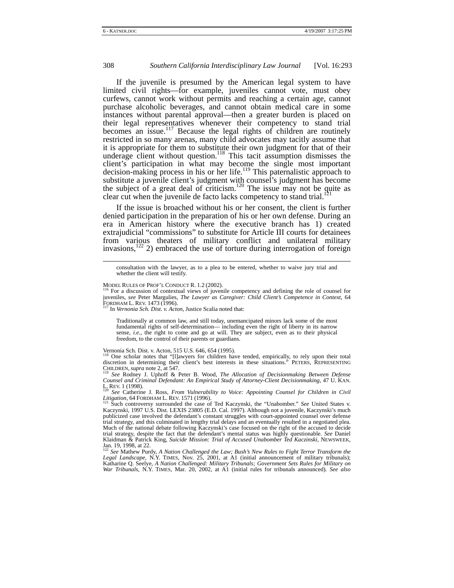If the juvenile is presumed by the American legal system to have limited civil rights—for example, juveniles cannot vote, must obey curfews, cannot work without permits and reaching a certain age, cannot purchase alcoholic beverages, and cannot obtain medical care in some instances without parental approval—then a greater burden is placed on their legal representatives whenever their competency to stand trial becomes an issue.<sup>117</sup> Because the legal rights of children are routinely restricted in so many arenas, many child advocates may tacitly assume that it is appropriate for them to substitute their own judgment for that of their underage client without question.<sup>118</sup> This tacit assumption dismisses the client's participation in what may become the single most important decision-making process in his or her life.<sup>119</sup> This paternalistic approach to substitute a juvenile client's judgment with counsel's judgment has become the subject of a great deal of criticism.<sup>120</sup> The issue may not be quite as clear cut when the juvenile de facto lacks competency to stand trial.

If the issue is broached without his or her consent, the client is further denied participation in the preparation of his or her own defense. During an era in American history where the executive branch has 1) created extrajudicial "commissions" to substitute for Article III courts for detainees from various theaters of military conflict and unilateral military invasions,<sup>122</sup> 2) embraced the use of torture during interrogation of foreign

Traditionally at common law, and still today, unemancipated minors lack some of the most fundamental rights of self-determination— including even the right of liberty in its narrow sense, *i.e.*, the right to come and go at will. They are subject, even as to their physical freedom, to the control of their parents or guardians.

Vernonia Sch. Dist. v. Acton, 515 U.S. 646, 654 (1995).

<sup>118</sup> One scholar notes that "[l]awyers for children have tended, empirically, to rely upon their total discretion in determining their client's best interests in these situations." PETERS, REPRESENTING CHILDREN, *supra* note 2, at 547. 119 *See* Rodney J. Uphoff & Peter B. Wood, *The Allocation of Decisionmaking Between Defense* 

*Counsel and Criminal Defendant: An Empirical Study of Attorney-Client Decisionmaking*, 47 U. KAN.

L. REV. 1 (1998).<br>
<sup>120</sup> *See* Catherine J. Ross, *From Vulnerability to Voice: Appointing Counsel for Children in Civil<br>
<i>Litigation*, 64 FORDHAM L. REV. 1571 (1996).<br>
<sup>121</sup> Such controversy surrounded the 1996 of Ted Koo

Such controversy surrounded the case of Ted Kaczynski, the "Unabomber." *See* United States v. Kaczynski, 1997 U.S. Dist. LEXIS 23805 (E.D. Cal. 1997). Although not a juvenile, Kaczynski's much publicized case involved the defendant's constant struggles with court-appointed counsel over defense trial strategy, and this culminated in lengthy trial delays and an eventually resulted in a negotiated plea. Much of the national debate following Kaczynski's case focused on the right of the accused to decide trial strategy, despite the fact that the defendant's mental status was highly questionable. *See* Daniel Klaidman & Patrick King, *Suicide Mission: Trial of Accused Unabomber Ted Kaczinski,* NEWSWEEK, Jan. 19, 1998, at 22.

<sup>122</sup> *See* Mathew Purdy, *A Nation Challenged the Law; Bush's New Rules to Fight Terror Transform the Legal Landscape, N.Y. TIMES, Nov. 25, 2001, at A1 (initial announcement of military tribunals);* Katharine Q. Seelye, *A Nation Challenged: Military Tribunals; Government Sets Rules for Military on War Tribunals*, N.Y. TIMES, Mar. 20, 2002, at A1 (initial rules for tribunals announced)*. See also* 

consultation with the lawyer, as to a plea to be entered, whether to waive jury trial and whether the client will testify.

MODEL RULES OF PROF'L CONDUCT R. 1.2 (2002).<br><sup>116</sup> For a discussion of contextual views of juvenile competency and defining the role of counsel for juveniles, *see* Peter Margulies, *The Lawyer as Caregiver: Child Client's Competence in Context*, 64<br>FORDHAM L. REV. 1473 (1996).<br><sup>117</sup> In Varmin Sch. Diet u. d. 111.

In Vernonia Sch. Dist. v. Acton, Justice Scalia noted that: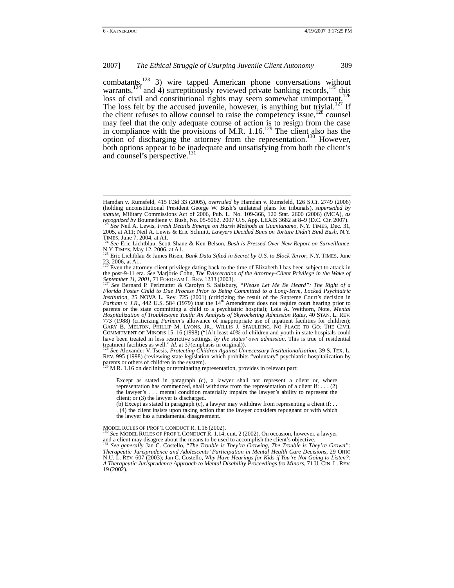combatants,<sup>123</sup> 3) wire tapped American phone conversations without warrants,<sup>124</sup> and 4) surreptitiously reviewed private banking records,<sup>125</sup> this loss of civil and constitutional rights may seem somewhat unimportant.<sup>126</sup> The loss felt by the accused juvenile, however, is anything but trivial.<sup>127</sup> If the client refuses to allow counsel to raise the competency issue,  $128$  counsel may feel that the only adequate course of action is to resign from the case in compliance with the provisions of M.R.  $1.16$ <sup>129</sup> The client also has the option of discharging the attorney from the representation.<sup>130</sup> However, both options appear to be inadequate and unsatisfying from both the client's and counsel's perspective.<sup>131</sup>

the post-9-11 era. *See* Marjorie Cohn, *The Evisceration of the Attorney-Client Privilege in the Wake of September 11, 2001, 71 FORDHAM L. REV. 1233 (2003).* 

REV. 995 (1998) (reviewing state legislation which prohibits "voluntary" psychiatric hospitalization by parents or others of children in the system).<br><sup>129</sup> M.R. 1.16 on declining or terminating representation, provides in relevant part:

Except as stated in paragraph (c), a lawyer shall not represent a client or, where representation has commenced, shall withdraw from the representation of a client if: . . . (2) the lawyer's . . . mental condition materially impairs the lawyer's ability to represent the client; or (3) the lawyer is discharged.

(b) Except as stated in paragraph  $(c)$ , a lawyer may withdraw from representing a client if: . . (4) the client insists upon taking action that the lawyer considers repugnant or with which the lawyer has a fundamental disagreement.

MODEL RULES OF PROF'L CONDUCT R. 1.16 (2002).<br><sup>130</sup> *See* MODEL RULES OF PROF'L CONDUCT R. 1.14, cmt. 2 (2002). On occasion, however, a lawyer<br>and a client may disagree about the means to be used to accomplish the client's

and a client may disagree about the means to be used to accomplish the client's objective. 131 *See generally* Jan C. Costello, "*The Trouble is They're Growing, The Trouble is They're Grown": Therapeutic Jurisprudence and Adolescents' Participation in Mental Health Care Decisions*, 29 OHIO N.U. L. REV. 607 (2003); Jan C. Costello, *Why Have Hearings for Kids if You're Not Going to Listen?: A Therapeutic Jurisprudence Approach to Mental Disability Proceedings fro Minors*, 71 U. CIN. L. REV. 19 (2002).

Hamdan v. Rumsfeld, 415 F.3d 33 (2005), *overruled by* Hamdan v. Rumsfeld, 126 S.Ct. 2749 (2006) (holding unconstitutional President George W. Bush's unilateral plans for tribunals), *superseded by statute,* Military Commissions Act of 2006, Pub. L. No. 109-366, 120 Stat. 2600 (2006) (MCA), *as recognized by Boumediene v. Bush, No. 05-5062, 2007 U.S. App. LEXIS 3682 at 8–9 (D.C. Cir. 2007).*<br><sup>123</sup> *See Neil A. Lewis, Fresh Details Emerge on Harsh Methods at Guantanamo, N.Y. TIMES, Dec. 31,* 2005, at A11; Neil A. Lewis & Eric Schmitt, *Lawyers Decided Bans on Torture Didn't Bind Bush*, N.Y.<br>TIMES, June 7, 2004, at A<sub>124</sub>

<sup>&</sup>lt;sup>124</sup> *See* Eric Lichtblau, Scott Shane & Ken Belson, *Bush is Pressed Over New Report on Surveillance*,<br>N.Y. TMBS, May 12, 2006, at A1.

N.Y. TIMES, May 12, 2006, at A1. 125 Eric Lichtblau & James Risen, *Bank Data Sifted in Secret by U.S. to Block Terror*, N.Y. TIMES, June 23, 2006, at A1.<br><sup>126</sup> Even the attorney-client privilege dating back to the time of Elizabeth I has been subject to attack in

*See Bernard P. Perlmutter & Carolyn S. Salisbury, "Please Let Me Be Heard": The Right of a Florida Foster Child to Due Process Prior to Being Committed to a Long-Term, Locked Psychiatric Institution*, 25 NOVA L. Rev. 725 (2001) (criticizing the result of the Supreme Court's decision in Parham v. J.R., 442 U.S. 584 (1979) that the 14<sup>th</sup> Amendment does not require court hearing prior to parents or the state committing a child to a psychiatric hospital); Lois A. Weithorn, Note, *Mental <br>Hospitalization of Troublesome Youth: An Analysis of Skyrocketing Admission Rates, 40 STAN. L. REV.* 773 (1988) (criticizing *Parham*'s allowance of inappropriate use of inpatient facilities for children); GARY B. MELTON, PHILLIP M. LYONS, JR., WILLIS J. SPAULDING, NO PLACE TO GO: THE CIVIL COMMITMENT OF MINORS 15–16 (1998) ("[A]t least 40% of children and youth in state hospitals could have been treated in less restrictive settings, by the states' own admission. This is true of residential treatment facilities as well." *Id.* at 37(emphasis in original)).<br><sup>128</sup> *See* Alexander V. Tsesis, *Protecting Children Against Unnecessary Institutionalization*, 39 S. TEX. L.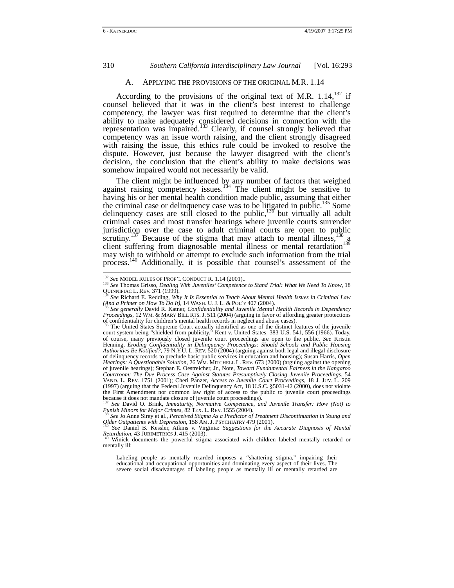#### A. APPLYING THE PROVISIONS OF THE ORIGINAL M.R. 1.14

According to the provisions of the original text of M.R.  $1.14$ ,  $1.132$  if counsel believed that it was in the client's best interest to challenge competency, the lawyer was first required to determine that the client's ability to make adequately considered decisions in connection with the representation was impaired.<sup>133</sup> Clearly, if counsel strongly believed that competency was an issue worth raising, and the client strongly disagreed with raising the issue, this ethics rule could be invoked to resolve the dispute. However, just because the lawyer disagreed with the client's decision, the conclusion that the client's ability to make decisions was somehow impaired would not necessarily be valid.

The client might be influenced by any number of factors that weighed against raising competency issues.<sup>134</sup> The client might be sensitive to having his or her mental health condition made public, assuming that either the criminal case or delinquency case was to be litigated in public.<sup>135</sup> Some delinquency cases are still closed to the public,  $136$  but virtually all adult criminal cases and most transfer hearings where juvenile courts surrender jurisdiction over the case to adult criminal courts are open to public scrutiny.<sup>137</sup> Because of the stigma that may attach to mental illness, $\frac{138}{9}$  a client suffering from diagnosable mental illness or mental retardation<sup>139</sup> may wish to withhold or attempt to exclude such information from the trial process.<sup>140</sup> Additionally, it is possible that counsel's assessment of the

Labeling people as mentally retarded imposes a "shattering stigma," impairing their educational and occupational opportunities and dominating every aspect of their lives. The severe social disadvantages of labeling people as mentally ill or mentally retarded are

<sup>&</sup>lt;sup>132</sup> *See* MODEL RULES OF PROF'L CONDUCT R. 1.14 (2001)..<br><sup>133</sup> *See* Thomas Grisso, *Dealing With Juveniles' Competence to Stand Trial: What We Need To Know*, 18<br>QUINNIPIAC L. REV. 371 (1999).

<sup>&</sup>lt;sup>134</sup> *See* Richard E. Redding, *Why It Is Essential to Teach About Mental Health Issues in Criminal Law*  $\frac{\text{d}}{\text{d}x}$  *a Primer on How To Do It)*, 14 WASH. U. J. L. & POL'Y 407 (2004).

*<sup>(</sup>And a Primer on How To Do It)*, 14 WASH. U. J. L. & POL'Y 407 (2004). 135 *See generally* David R. Katner, *Confidentiality and Juvenile Mental Health Records in Dependency Proceedings,* 12 WM. & MARY BILL RTS. J. 511 (2004) (arguing in favor of affording greater protections of confidentiality for children's mental health records in neglect and abuse cases).

of confidentiality for children's mental health records in neglect and abuse cases).<br><sup>136</sup> The United States Supreme Court actually identified as one of the distinct features of the juvenile<br>court system being "shielded fr of course, many previously closed juvenile court proceedings are open to the public. *See* Kristin Henning, *Eroding Confidentiality in Delinquency Proceedings: Should Schools and Public Housing Authorities Be Notified?*, 79 N.Y.U. L. REV. 520 (2004) (arguing against both legal and illegal disclosure of delinquency records to preclude basic public services in education and housing); Susan Harris, *Open Hearings: A Questionable Solution,* 26 WM. MITCHELL L. REV. 673 (2000) (arguing against the opening of juvenile hearings); Stephan E. Oestreicher, Jr., Note, *Toward Fundamental Fairness in the Kangaroo Courtroom: The Due Process Case Against Statutes Presumptively Closing Juvenile Proceedings*, 54 VAND. L. REV. 1751 (2001); Cheri Panzer, *Access to Juvenile Court Proceedings*, 18 J. JUV. L. 209 (1997) (arguing that the Federal Juvenile Delinquency Act, 18 U.S.C.  $$5031-42$  ( $2000$ ), does not violate the First Amendment nor common law right of access to the public to juvenile court proceedings the First Amendment nor common law right of access to the public to juvenile court proceedings because it does not mandate closure of juvenile court proceedings).<br><sup>137</sup> See David O. Brink, *Immaturity, Normative Competence* 

*Punish Minors for Major Crimes, 82 TEX. L. REV. 1555 (2004).*<br><sup>138</sup> *See Jo Anne Sirey et al., Perceived Stigma As a Predictor of Treatment Discontinuation in Young and* 

*Older Outpatients with Depression*, 158 AM. J. PSYCHIATRY 479 (2001).<br><sup>139</sup> *See* Daniel B. Kessler, Atkins v. Virginia: *Suggestions for the Accurate Diagnosis of Mental* 

*Retardation*, 43 JURIMETRICS J. 415 (2003).<br><sup>140</sup> Winick documents the powerful stigma associated with children labeled mentally retarded or

<sup>&</sup>lt;sup>140</sup> Winick documents the powerful stigma associated with children labeled mentally retarded or mentally ill: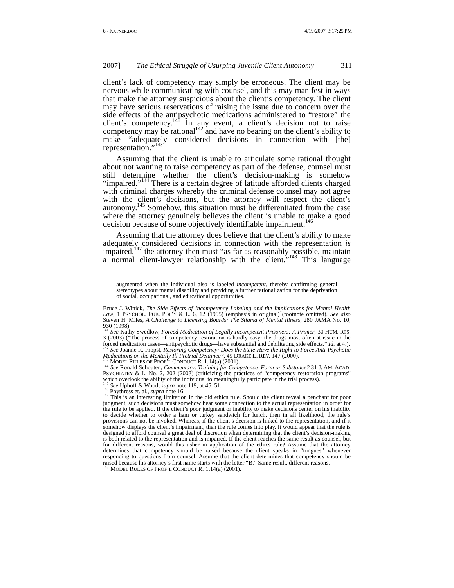client's lack of competency may simply be erroneous. The client may be nervous while communicating with counsel, and this may manifest in ways that make the attorney suspicious about the client's competency. The client may have serious reservations of raising the issue due to concern over the side effects of the antipsychotic medications administered to "restore" the client's competency.<sup>141</sup> In any event, a client's decision not to raise competency may be rational<sup>142</sup> and have no bearing on the client's ability to make "adequately considered decisions in connection with [the] representation."<sup>143</sup>

Assuming that the client is unable to articulate some rational thought about not wanting to raise competency as part of the defense, counsel must still determine whether the client's decision-making is somehow "impaired."<sup>144</sup> There is a certain degree of latitude afforded clients charged with criminal charges whereby the criminal defense counsel may not agree with the client's decisions, but the attorney will respect the client's autonomy.<sup>145</sup> Somehow, this situation must be differentiated from the case where the attorney genuinely believes the client is unable to make a good decision because of some objectively identifiable impairment.<sup>146</sup>

Assuming that the attorney does believe that the client's ability to make adequately considered decisions in connection with the representation *is*  impaired,<sup> $147$ </sup> the attorney then must "as far as reasonably possible, maintain a normal client-lawyer relationship with the client."<sup>148</sup> This language

augmented when the individual also is labeled *incompetent*, thereby confirming general stereotypes about mental disability and providing a further rationalization for the deprivation of social, occupational, and educational opportunities.

Bruce J. Winick, *The Side Effects of Incompetency Labeling and the Implications for Mental Health Law*, 1 PSYCHOL. PUB. POL'Y & L. 6, 12 (1995) (emphasis in original) (footnote omitted). *See also* Steven H. Miles, *A Challenge to Licensing Boards: The Stigma of Mental Illness*, 280 JAMA No. 10, 930 (1998). <sup>141</sup> *See* Kathy Swedlow, *Forced Medication of Legally Incompetent Prisoners: A Primer*, 30 HUM. RTS.

<sup>3 (2003) (&</sup>quot;The process of competency restoration is hardly easy: the drugs most often at issue in the forced medication cases—antipsychotic drugs—have substantial and debilitating side effects."  $Id$ . at 4.).<br><sup>142</sup> See Lon forced medication cases—antipsychotic drugs—have substantial and debilitating side effects." Id. at 4.).<br><sup>142</sup> See Joanne R. Propst, *Restoring Competency: Does the State Have the Right to Force Anti-Psychotic* 

Medications on the Mentally Ill Pretrial Detainee?, 49 DRAKE L. REV. 147 (2000).<br><sup>143</sup> MODEL RULES OF PROF'L CONDUCT R. 1.14(a) (2001).<br><sup>144</sup> See Ronald Schouten, *Commentary: Training for Competence–Form or Substance?* 31 <sup>144</sup> See Ronald Schouten, *Commentary: Training for Competence–Form or Substance*? 31 J. AM. ACAD.<br>PSYCHIATRY & L. No. 2, 202 (2003) (criticizing the practices of "competency restoration programs"<br>which overlook the abil

<sup>&</sup>lt;sup>145</sup> See Uphoff & Wood, *supra* note 119, at 45–51.<br><sup>146</sup> Poythress et. al., *supra* note 16.<br><sup>147</sup> This is an interesting limitation in the old ethics rule. Should the client reveal a penchant for poor judgment, such decisions must somehow bear some connection to the actual representation in order for the rule to be applied. If the client's poor judgment or inability to make decisions center on his inability to decide whether to order a ham or turkey sandwich for lunch, then in all likelihood, the rule's provisions can not be invoked. Whereas, if the client's decision is linked to the representation, and if it somehow displays the client's impairment, then the rule comes into play. It would appear that the rule is designed to afford counsel a great deal of discretion when determining that the client's decision-making is both related to the representation and is impaired. If the client reaches the same result as counsel, but for different reasons, would this usher in application of the ethics rule? Assume that the attorney determines that competency should be raised because the client speaks in "tongues" whenever responding to questions from counsel. Assume that the client determines that competency should be raised because his attorney's first name starts with the letter "B." Same result, different reasons.<br><sup>148</sup> MODEL RULES OF PROF'L CONDUCT R. 1.14(a) (2001).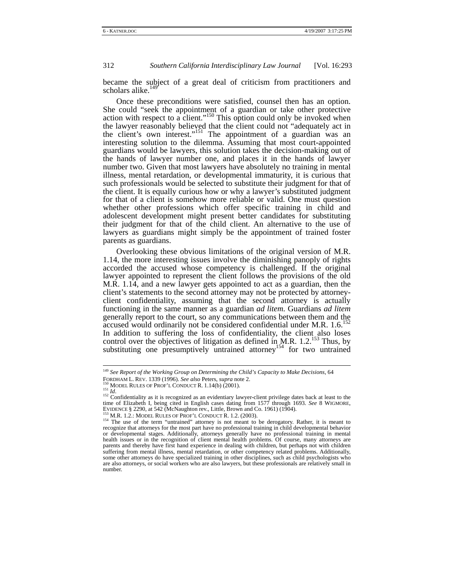became the subject of a great deal of criticism from practitioners and scholars alike.<sup>149</sup>

Once these preconditions were satisfied, counsel then has an option. She could "seek the appointment of a guardian or take other protective action with respect to a client."<sup>150</sup> This option could only be invoked when the lawyer reasonably believed that the client could not "adequately act in the client's own interest."<sup>151</sup> The appointment of a guardian was an interesting solution to the dilemma. Assuming that most court-appointed guardians would be lawyers, this solution takes the decision-making out of the hands of lawyer number one, and places it in the hands of lawyer number two. Given that most lawyers have absolutely no training in mental illness, mental retardation, or developmental immaturity, it is curious that such professionals would be selected to substitute their judgment for that of the client. It is equally curious how or why a lawyer's substituted judgment for that of a client is somehow more reliable or valid. One must question whether other professions which offer specific training in child and adolescent development might present better candidates for substituting their judgment for that of the child client. An alternative to the use of lawyers as guardians might simply be the appointment of trained foster parents as guardians.

Overlooking these obvious limitations of the original version of M.R. 1.14, the more interesting issues involve the diminishing panoply of rights accorded the accused whose competency is challenged. If the original lawyer appointed to represent the client follows the provisions of the old M.R. 1.14, and a new lawyer gets appointed to act as a guardian, then the client's statements to the second attorney may not be protected by attorneyclient confidentiality, assuming that the second attorney is actually functioning in the same manner as a guardian *ad litem.* Guardians *ad litem*  generally report to the court, so any communications between them and the accused would ordinarily not be considered confidential under M.R. 1.6.<sup>152</sup> In addition to suffering the loss of confidentiality, the client also loses control over the objectives of litigation as defined in M.R.  $1.2^{153}$  Thus, by substituting one presumptively untrained attorney<sup>154</sup> for two untrained

<sup>&</sup>lt;sup>149</sup> *See Report of the Working Group on Determining the Child's Capacity to Make Decisions, 64*<br>FORDHAM L. REV. 1339 (1996). *See also* Peters, *supra* note 2.

<sup>&</sup>lt;sup>150</sup> MODEL RULES OF PROF'L CONDUCT R. 1.14(b) (2001).<br><sup>151</sup> *Id.*<br><sup>152</sup> Confidentiality as it is recognized as an evidentiary lawyer-client privilege dates back at least to the time of Elizabeth I, being cited in English cases dating from 1577 through 1693. *See* 8 WIGMORE, EVIDENCE § 2290, at 542 (McNaughton rev., Little, Brown and Co. 1961) (1904).<br>
<sup>153</sup> M.R. 1.2.: MODEL RULES OF PROF'L CONDUCT R. 1.2. (2003).<br>
<sup>154</sup> The use of the term "untrained" attorney is not meant to be derogatory.

recognize that attorneys for the most part have no professional training in child developmental behavior or developmental stages. Additionally, attorneys generally have no professional training in mental health issues or in the recognition of client mental health problems. Of course, many attorneys are parents and thereby have first hand experience in dealing with children, but perhaps not with children suffering from mental illness, mental retardation, or other competency related problems. Additionally, some other attorneys do have specialized training in other disciplines, such as child psychologists who are also attorneys, or social workers who are also lawyers, but these professionals are relatively small in number.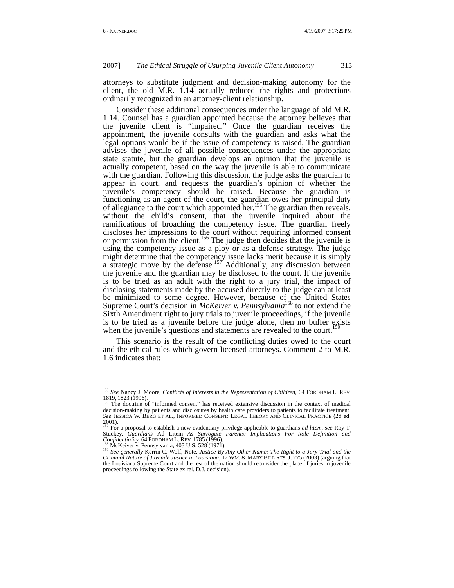attorneys to substitute judgment and decision-making autonomy for the client, the old M.R. 1.14 actually reduced the rights and protections ordinarily recognized in an attorney-client relationship.

Consider these additional consequences under the language of old M.R. 1.14. Counsel has a guardian appointed because the attorney believes that the juvenile client is "impaired." Once the guardian receives the appointment, the juvenile consults with the guardian and asks what the legal options would be if the issue of competency is raised. The guardian advises the juvenile of all possible consequences under the appropriate state statute, but the guardian develops an opinion that the juvenile is actually competent, based on the way the juvenile is able to communicate with the guardian. Following this discussion, the judge asks the guardian to appear in court, and requests the guardian's opinion of whether the juvenile's competency should be raised. Because the guardian is functioning as an agent of the court, the guardian owes her principal duty of allegiance to the court which appointed her.<sup>155</sup> The guardian then reveals, without the child's consent, that the juvenile inquired about the ramifications of broaching the competency issue. The guardian freely discloses her impressions to the court without requiring informed consent or permission from the client.<sup>156</sup> The judge then decides that the juvenile is using the competency issue as a ploy or as a defense strategy. The judge might determine that the competency issue lacks merit because it is simply a strategic move by the defense.<sup>157</sup> Additionally, any discussion between the juvenile and the guardian may be disclosed to the court. If the juvenile is to be tried as an adult with the right to a jury trial, the impact of disclosing statements made by the accused directly to the judge can at least be minimized to some degree. However, because of the United States Supreme Court's decision in *McKeiver v. Pennsylvania*<sup>158</sup> to not extend the Sixth Amendment right to jury trials to juvenile proceedings, if the juvenile is to be tried as a juvenile before the judge alone, then no buffer exists when the juvenile's questions and statements are revealed to the court.

This scenario is the result of the conflicting duties owed to the court and the ethical rules which govern licensed attorneys. Comment 2 to M.R. 1.6 indicates that:

<sup>&</sup>lt;sup>155</sup> *See* Nancy J. Moore, *Conflicts of Interests in the Representation of Children*, 64 FORDHAM L. REV.<br>1819, 1823 (1996).<br><sup>156</sup> The doctrine of "informed consent" has resolved avtancing discussion in the context of mul

The doctrine of "informed consent" has received extensive discussion in the context of medical decision-making by patients and disclosures by health care providers to patients to facilitate treatment. *See* JESSICA W. BERG ET AL., INFORMED CONSENT: LEGAL THEORY AND CLINICAL PRACTICE (2d ed. 2001). 157 For a proposal to establish a new evidentiary privilege applicable to guardians *ad litem*, *see* Roy T.

Stuckey, *Guardians* Ad Litem As Surrogate Parents: *Implications For Role Definition and*<br>Confidentiality, 64 FORDHAM L. REV. 1785 (1996).<br><sup>158</sup> McKeiver v. Pennsylvania, 403 U.S. 528 (1971).<br><sup>159</sup> See generally Kerrin C.

<sup>&</sup>lt;sup>159</sup> See generally Kerrin C. Wolf, Note, Justice By Any Other Name: The Right to a Jury Trial and the Criminal Nature of Juvenile Justice in Louisiana, 12 WM. & MARY BILL RTS. J. 275 (2003) (arguing that Criminal Nature o the Louisiana Supreme Court and the rest of the nation should reconsider the place of juries in juvenile proceedings following the State ex rel. D.J. decision).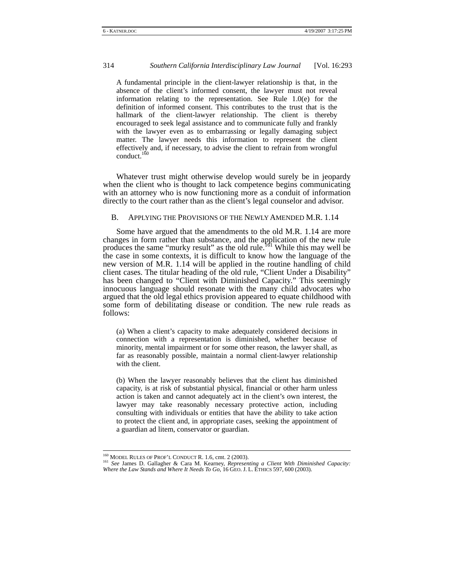A fundamental principle in the client-lawyer relationship is that, in the absence of the client's informed consent, the lawyer must not reveal information relating to the representation. See Rule 1.0(e) for the definition of informed consent. This contributes to the trust that is the hallmark of the client-lawyer relationship. The client is thereby encouraged to seek legal assistance and to communicate fully and frankly with the lawyer even as to embarrassing or legally damaging subject matter. The lawyer needs this information to represent the client effectively and, if necessary, to advise the client to refrain from wrongful conduct.<sup>160</sup>

Whatever trust might otherwise develop would surely be in jeopardy when the client who is thought to lack competence begins communicating with an attorney who is now functioning more as a conduit of information directly to the court rather than as the client's legal counselor and advisor.

#### B. APPLYING THE PROVISIONS OF THE NEWLY AMENDED M.R. 1.14

Some have argued that the amendments to the old M.R. 1.14 are more changes in form rather than substance, and the application of the new rule produces the same "murky result" as the old rule.<sup>161</sup> While this may well be the case in some contexts, it is difficult to know how the language of the new version of M.R. 1.14 will be applied in the routine handling of child client cases. The titular heading of the old rule, "Client Under a Disability" has been changed to "Client with Diminished Capacity." This seemingly innocuous language should resonate with the many child advocates who argued that the old legal ethics provision appeared to equate childhood with some form of debilitating disease or condition. The new rule reads as follows:

(a) When a client's capacity to make adequately considered decisions in connection with a representation is diminished, whether because of minority, mental impairment or for some other reason, the lawyer shall, as far as reasonably possible, maintain a normal client-lawyer relationship with the client.

(b) When the lawyer reasonably believes that the client has diminished capacity, is at risk of substantial physical, financial or other harm unless action is taken and cannot adequately act in the client's own interest, the lawyer may take reasonably necessary protective action, including consulting with individuals or entities that have the ability to take action to protect the client and, in appropriate cases, seeking the appointment of a guardian ad litem, conservator or guardian.

 <sup>160</sup> MODEL RULES OF PROF'L CONDUCT R. 1.6, cmt. 2 (2003). 161 *See* James D. Gallagher & Cara M. Kearney, *Representing a Client With Diminished Capacity: Where the Law Stands and Where It Needs To Go*, 16 GEO. J. L. ETHICS 597, 600 (2003).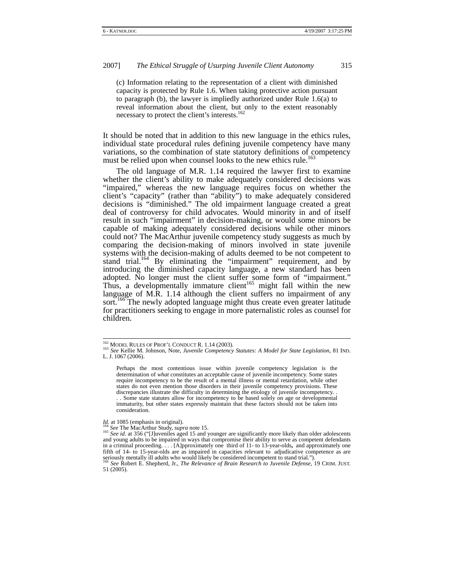(c) Information relating to the representation of a client with diminished capacity is protected by Rule 1.6. When taking protective action pursuant to paragraph (b), the lawyer is impliedly authorized under Rule 1.6(a) to reveal information about the client, but only to the extent reasonably necessary to protect the client's interests.<sup>162</sup>

It should be noted that in addition to this new language in the ethics rules, individual state procedural rules defining juvenile competency have many variations, so the combination of state statutory definitions of competency must be relied upon when counsel looks to the new ethics rule.<sup>163</sup>

The old language of M.R. 1.14 required the lawyer first to examine whether the client's ability to make adequately considered decisions was "impaired," whereas the new language requires focus on whether the client's "capacity" (rather than "ability") to make adequately considered decisions is "diminished." The old impairment language created a great deal of controversy for child advocates. Would minority in and of itself result in such "impairment" in decision-making, or would some minors be capable of making adequately considered decisions while other minors could not? The MacArthur juvenile competency study suggests as much by comparing the decision-making of minors involved in state juvenile systems with the decision-making of adults deemed to be not competent to stand trial.<sup>164</sup> By eliminating the "impairment" requirement, and by introducing the diminished capacity language, a new standard has been adopted. No longer must the client suffer some form of "impairment." Thus, a developmentally immature client<sup>165</sup> might fall within the new language of M.R. 1.14 although the client suffers no impairment of any sort.<sup>166</sup> The newly adopted language might thus create even greater latitude for practitioners seeking to engage in more paternalistic roles as counsel for children.

 <sup>162</sup> MODEL RULES OF PROF'L CONDUCT R. 1.14 (2003). 163 *See* Kellie M. Johnson, Note, *Juvenile Competency Statutes: A Model for State Legislation,* <sup>81</sup> IND. L. J. 1067 (2006).

Perhaps the most contentious issue within juvenile competency legislation is the determination of *what* constitutes an acceptable cause of juvenile incompetency. Some states require incompetency to be the result of a mental illness or mental retardation, while other states do not even mention those disorders in their juvenile competency provisions. These discrepancies illustrate the difficulty in determining the etiology of juvenile incompetency. . . . Some state statutes allow for incompetency to be based solely on age or developmental immaturity, but other states expressly maintain that these factors should not be taken into consideration.

*Id.* at 1085 (emphasis in original).<br><sup>164</sup> *See* The MacArthur Study, *supra* note 15.<br><sup>165</sup> *See id.* at 356 ("[J]uveniles aged 15 and younger are significantly more likely than older adolescents and young adults to be impaired in ways that compromise their ability to serve as competent defendants in a criminal proceeding.... [A]pproximately one third of 11- to 13-year-olds, and approximately one fifth of 14- to 15-year-olds are as impaired in capacities relevant to adjudicative competence as are seriously mentally

<sup>51 (2005).</sup>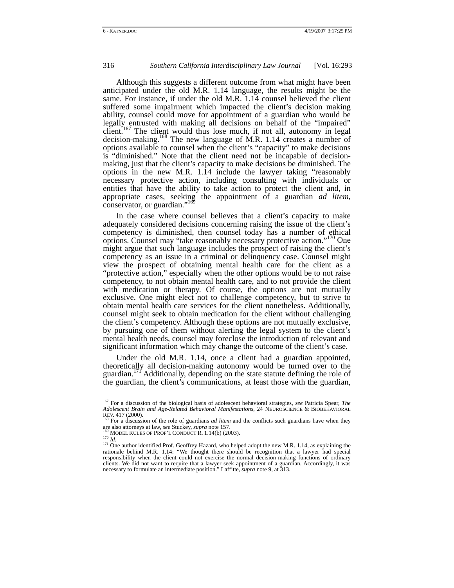Although this suggests a different outcome from what might have been anticipated under the old M.R. 1.14 language, the results might be the same. For instance, if under the old M.R. 1.14 counsel believed the client suffered some impairment which impacted the client's decision making ability, counsel could move for appointment of a guardian who would be legally entrusted with making all decisions on behalf of the "impaired" client.<sup>167</sup> The client would thus lose much, if not all, autonomy in legal decision-making.<sup>168</sup> The new language of M.R. 1.14 creates a number of options available to counsel when the client's "capacity" to make decisions is "diminished." Note that the client need not be incapable of decisionmaking, just that the client's capacity to make decisions be diminished. The options in the new M.R. 1.14 include the lawyer taking "reasonably necessary protective action, including consulting with individuals or entities that have the ability to take action to protect the client and, in appropriate cases, seeking the appointment of a guardian *ad litem*, conservator, or guardian." $\frac{1}{2}$ 

In the case where counsel believes that a client's capacity to make adequately considered decisions concerning raising the issue of the client's competency is diminished, then counsel today has a number of ethical options. Counsel may "take reasonably necessary protective action."170 One might argue that such language includes the prospect of raising the client's competency as an issue in a criminal or delinquency case. Counsel might view the prospect of obtaining mental health care for the client as a "protective action," especially when the other options would be to not raise competency, to not obtain mental health care, and to not provide the client with medication or therapy. Of course, the options are not mutually exclusive. One might elect not to challenge competency, but to strive to obtain mental health care services for the client nonetheless. Additionally, counsel might seek to obtain medication for the client without challenging the client's competency. Although these options are not mutually exclusive, by pursuing one of them without alerting the legal system to the client's mental health needs, counsel may foreclose the introduction of relevant and significant information which may change the outcome of the client's case.

Under the old M.R. 1.14, once a client had a guardian appointed, theoretically all decision-making autonomy would be turned over to the guardian.<sup>171</sup> Additionally, depending on the state statute defining the role of the guardian, the client's communications, at least those with the guardian,

 <sup>167</sup> For a discussion of the biological basis of adolescent behavioral strategies, *see* Patricia Spear, *The Adolescent Brain and Age-Related Behavioral Manifestations*, 24 NEUROSCIENCE & BIOBEHAVIORAL

REV. 417 (2000).<br><sup>168</sup> For a discussion of the role of guardians *ad litem* and the conflicts such guardians have when they<br>are also attorneys at law, *see* Stuckey, *supra* note 157.<br><sup>169</sup> MODEL RULES OF PROF'L CONDUCT R.

MODEL KULES OF PROP L CONDUCT N. 1.1-7(0) (2002).<br> $\frac{170}{170}$  *Id.*<br> $\frac{171}{171}$  One author identified Prof. Geoffrey Hazard, who helped adopt the new M.R. 1.14, as explaining the rationale behind M.R. 1.14: "We thought there should be recognition that a lawyer had special responsibility when the client could not exercise the normal decision-making functions of ordinary clients. We did not want to require that a lawyer seek appointment of a guardian. Accordingly, it was necessary to formulate an intermediate position." Laffitte, *supra* note 9, at 313.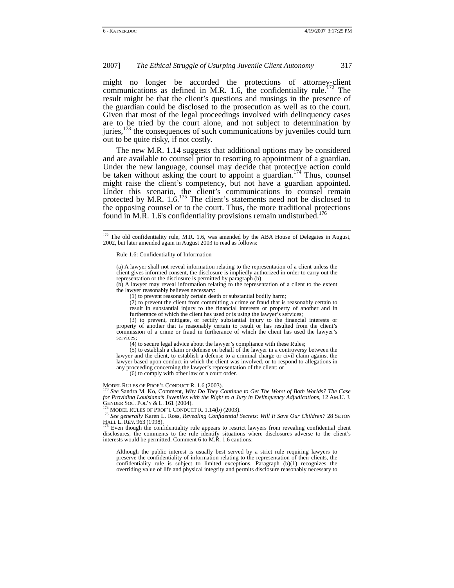might no longer be accorded the protections of attorney-client communications as defined in M.R. 1.6, the confidentiality rule.<sup>172</sup> The result might be that the client's questions and musings in the presence of the guardian could be disclosed to the prosecution as well as to the court. Given that most of the legal proceedings involved with delinquency cases are to be tried by the court alone, and not subject to determination by juries,<sup>173</sup> the consequences of such communications by juveniles could turn out to be quite risky, if not costly.

The new M.R. 1.14 suggests that additional options may be considered and are available to counsel prior to resorting to appointment of a guardian. Under the new language, counsel may decide that protective action could be taken without asking the court to appoint a guardian.<sup>174</sup> Thus, counsel might raise the client's competency, but not have a guardian appointed. Under this scenario, the client's communications to counsel remain protected by M.R.  $1.6$ .<sup>175</sup> The client's statements need not be disclosed to the opposing counsel or to the court. Thus, the more traditional protections found in M.R. 1.6's confidentiality provisions remain undisturbed.<sup>176</sup>

Rule 1.6: Confidentiality of Information

(a) A lawyer shall not reveal information relating to the representation of a client unless the client gives informed consent, the disclosure is impliedly authorized in order to carry out the representation or the disclosure is permitted by paragraph (b).

(b) A lawyer may reveal information relating to the representation of a client to the extent the lawyer reasonably believes necessary:

(2) to prevent the client from committing a crime or fraud that is reasonably certain to result in substantial injury to the financial interests or property of another and in furtherance of which the client has used or is using the lawyer's services;

(3) to prevent, mitigate, or rectify substantial injury to the financial interests or property of another that is reasonably certain to result or has resulted from the client's commission of a crime or fraud in furtherance of which the client has used the lawyer's services;

(4) to secure legal advice about the lawyer's compliance with these Rules;

(5) to establish a claim or defense on behalf of the lawyer in a controversy between the lawyer and the client, to establish a defense to a criminal charge or civil claim against the lawyer based upon conduct in which the client was involved, or to respond to allegations in any proceeding concerning the lawyer's representation of the client; or

(6) to comply with other law or a court order.

MODEL RULES OF PROF'L CONDUCT R. 1.6 (2003). 173 *See* Sandra M. Ko, Comment, *Why Do They Continue to Get The Worst of Both Worlds? The Case for Providing Louisiana's Juveniles with the Right to a Jury in Delinquency Adjudications*, 12 AM.U. J.

<sup>174</sup> MODEL RULES OF PROF'L CONDUCT R. 1.14(b) (2003).<br><sup>175</sup> *See generally* Karen L. Ross, *Revealing Confidential Secrets: Will It Save Our Children?* 28 SETON<br>HALL REV. 963 (1998).

Even though the confidentiality rule appears to restrict lawyers from revealing confidential client disclosures, the comments to the rule identify situations where disclosures adverse to the client's interests would be permitted. Comment 6 to M.R. 1.6 cautions:

Although the public interest is usually best served by a strict rule requiring lawyers to preserve the confidentiality of information relating to the representation of their clients, the confidentiality rule is subject to limited exceptions. Paragraph (b)(1) recognizes the overriding value of life and physical integrity and permits disclosure reasonably necessary to

<sup>&</sup>lt;sup>172</sup> The old confidentiality rule, M.R. 1.6, was amended by the ABA House of Delegates in August, 2002, but later amended again in August 2003 to read as follows:

<sup>(1)</sup> to prevent reasonably certain death or substantial bodily harm;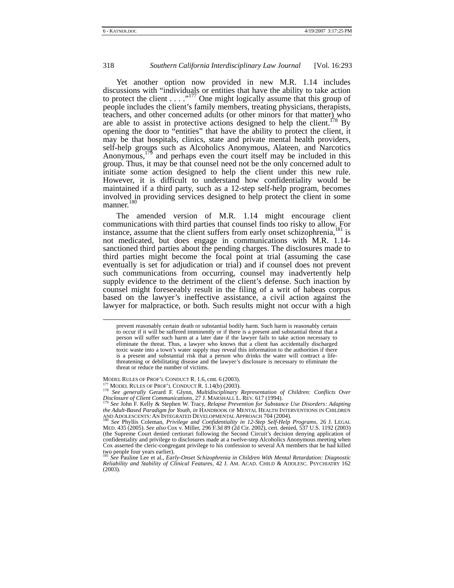Yet another option now provided in new M.R. 1.14 includes discussions with "individuals or entities that have the ability to take action to protect the client  $\dots$  ..."<sup>177</sup> One might logically assume that this group of people includes the client's family members, treating physicians, therapists, teachers, and other concerned adults (or other minors for that matter) who are able to assist in protective actions designed to help the client.<sup>178</sup> By opening the door to "entities" that have the ability to protect the client, it may be that hospitals, clinics, state and private mental health providers, self-help groups such as Alcoholics Anonymous, Alateen, and Narcotics Anonymous,<sup>179</sup> and perhaps even the court itself may be included in this group. Thus, it may be that counsel need not be the only concerned adult to initiate some action designed to help the client under this new rule. However, it is difficult to understand how confidentiality would be maintained if a third party, such as a 12-step self-help program, becomes involved in providing services designed to help protect the client in some manner.<sup>18</sup>

The amended version of M.R. 1.14 might encourage client communications with third parties that counsel finds too risky to allow. For instance, assume that the client suffers from early onset schizophrenia,<sup>181</sup> is not medicated, but does engage in communications with M.R. 1.14 sanctioned third parties about the pending charges. The disclosures made to third parties might become the focal point at trial (assuming the case eventually is set for adjudication or trial) and if counsel does not prevent such communications from occurring, counsel may inadvertently help supply evidence to the detriment of the client's defense. Such inaction by counsel might foreseeably result in the filing of a writ of habeas corpus based on the lawyer's ineffective assistance, a civil action against the lawyer for malpractice, or both. Such results might not occur with a high

MODEL RULES OF PROF'L CONDUCT R. 1.6, cmt. 6 (2003).<br><sup>177</sup> MODEL RULES OF PROF'L CONDUCT R. 1.14(b) (2003).<br><sup>178</sup> *See generally* Gerard F. Glynn, *Multidisciplinary Representation of Children: Conflicts Over* 

*Disclosure of Client Communications*, 27 J. MARSHALL L. REV. 617 (1994). 179 *See* John F. Kelly & Stephen W. Tracy, *Relapse Prevention for Substance Use Disorders: Adapting the Adult-Based Paradigm for Youth*, *in* HANDBOOK OF MENTAL HEALTH INTERVENTIONS IN CHILDREN AND ADOLESCENTS: AN INTEGRATED DEVELOPMENTAL APPROACH 704 (2004). 180 *See* Phyllis Coleman*, Privilege and Confidentiality in 12-Step Self-Help Programs*, 26 J. LEGAL

prevent reasonably certain death or substantial bodily harm. Such harm is reasonably certain to occur if it will be suffered imminently or if there is a present and substantial threat that a person will suffer such harm at a later date if the lawyer fails to take action necessary to eliminate the threat. Thus, a lawyer who knows that a client has accidentally discharged toxic waste into a town's water supply may reveal this information to the authorities if there is a present and substantial risk that a person who drinks the water will contract a lifethreatening or debilitating disease and the lawyer's disclosure is necessary to eliminate the threat or reduce the number of victims.

MED. 435 (2005). *See also* Cox v. Miller, 296 F.3d 89 (2d Cir. 2002), cert. denied, 537 U.S. 1192 (2003) (the Supreme Court denied certiorari following the Second Circuit's decision denying application of confidentiality and privilege to disclosures made at a twelve-step Alcoholics Anonymous meeting when Cox asserted the cleric-congregant privilege to his confession to several AA members that he had killed two people four years earlier). <sup>181</sup> *See* Pauline Lee et al., *Early-Onset Schizophrenia in Children With Mental Retardation: Diagnostic* 

*Reliability and Stability of Clinical Features*, 42 J. AM. ACAD. CHILD & ADOLESC. PSYCHIATRY 162 (2003).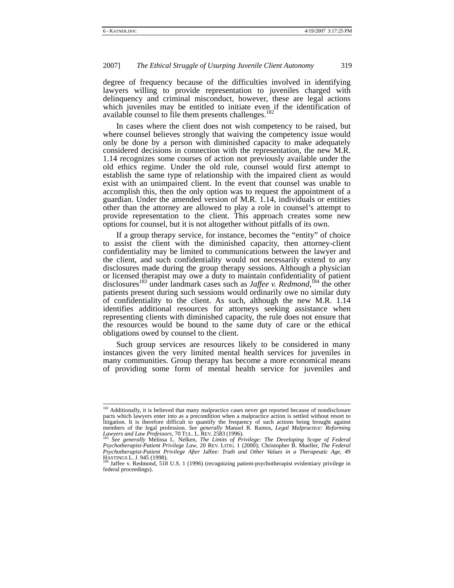degree of frequency because of the difficulties involved in identifying lawyers willing to provide representation to juveniles charged with delinquency and criminal misconduct, however, these are legal actions which juveniles may be entitled to initiate even if the identification of available counsel to file them presents challenges.<sup>1</sup>

In cases where the client does not wish competency to be raised, but where counsel believes strongly that waiving the competency issue would only be done by a person with diminished capacity to make adequately considered decisions in connection with the representation, the new M.R. 1.14 recognizes some courses of action not previously available under the old ethics regime. Under the old rule, counsel would first attempt to establish the same type of relationship with the impaired client as would exist with an unimpaired client. In the event that counsel was unable to accomplish this, then the only option was to request the appointment of a guardian. Under the amended version of M.R. 1.14, individuals or entities other than the attorney are allowed to play a role in counsel's attempt to provide representation to the client. This approach creates some new options for counsel, but it is not altogether without pitfalls of its own.

If a group therapy service, for instance, becomes the "entity" of choice to assist the client with the diminished capacity, then attorney-client confidentiality may be limited to communications between the lawyer and the client, and such confidentiality would not necessarily extend to any disclosures made during the group therapy sessions. Although a physician or licensed therapist may owe a duty to maintain confidentiality of patient disclosures<sup>183</sup> under landmark cases such as *Jaffee v. Redmond*,<sup>184</sup> the other patients present during such sessions would ordinarily owe no similar duty of confidentiality to the client. As such, although the new M.R. 1.14 identifies additional resources for attorneys seeking assistance when representing clients with diminished capacity, the rule does not ensure that the resources would be bound to the same duty of care or the ethical obligations owed by counsel to the client.

Such group services are resources likely to be considered in many instances given the very limited mental health services for juveniles in many communities. Group therapy has become a more economical means of providing some form of mental health service for juveniles and

<sup>&</sup>lt;sup>182</sup> Additionally, it is believed that many malpractice cases never get reported because of nondisclosure pacts which lawyers enter into as a precondition when a malpractice action is settled without resort to litigation. It is therefore difficult to quantify the frequency of such actions being brought against members of the legal profession. *See generally* Manuel R. Ramos, *Legal Malpractice: Reforming Lawyers and Law Professors*, 70 TUL. L. REV. 2583 (1996).<br>*Lawyers and Law Professors*, 70 TUL. L. REV. 2583 (1996).<br><sup>183</sup> See

*Psychotherapist-Patient Privilege Law*, 20 REV. LITIG. 1 (2000); Christopher B. Mueller, *The Federal Psychotherapist-Patient Privilege After* Jaffee*: Truth and Other Values in a Therapeutic Age*, 49

HASTINGS L. J. 945 (1998).<br><sup>184</sup> Jaffee v. Redmond, 518 U.S. 1 (1996) (recognizing patient-psychotherapist evidentiary privilege in federal proceedings).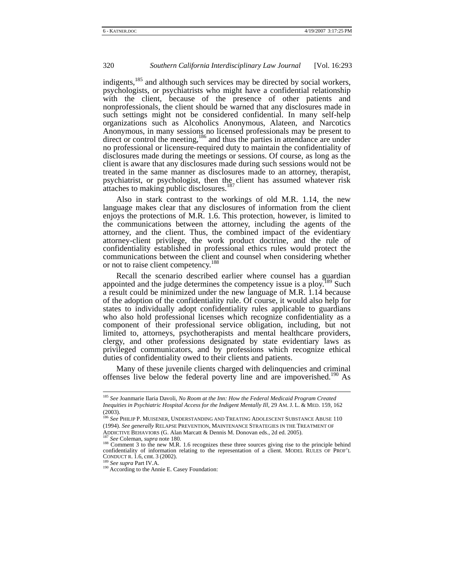indigents,<sup>185</sup> and although such services may be directed by social workers, psychologists, or psychiatrists who might have a confidential relationship with the client, because of the presence of other patients and nonprofessionals, the client should be warned that any disclosures made in such settings might not be considered confidential. In many self-help organizations such as Alcoholics Anonymous, Alateen, and Narcotics Anonymous, in many sessions no licensed professionals may be present to direct or control the meeting,<sup>186</sup> and thus the parties in attendance are under no professional or licensure-required duty to maintain the confidentiality of disclosures made during the meetings or sessions. Of course, as long as the client is aware that any disclosures made during such sessions would not be treated in the same manner as disclosures made to an attorney, therapist, psychiatrist, or psychologist, then the client has assumed whatever risk attaches to making public disclosures. $187$ 

Also in stark contrast to the workings of old M.R. 1.14, the new language makes clear that any disclosures of information from the client enjoys the protections of M.R. 1.6. This protection, however, is limited to the communications between the attorney, including the agents of the attorney, and the client. Thus, the combined impact of the evidentiary attorney-client privilege, the work product doctrine, and the rule of confidentiality established in professional ethics rules would protect the communications between the client and counsel when considering whether or not to raise client competency.<sup>188</sup>

Recall the scenario described earlier where counsel has a guardian appointed and the judge determines the competency issue is a ploy.<sup>189</sup> Such a result could be minimized under the new language of M.R. 1.14 because of the adoption of the confidentiality rule. Of course, it would also help for states to individually adopt confidentiality rules applicable to guardians who also hold professional licenses which recognize confidentiality as a component of their professional service obligation, including, but not limited to, attorneys, psychotherapists and mental healthcare providers, clergy, and other professions designated by state evidentiary laws as privileged communicators, and by professions which recognize ethical duties of confidentiality owed to their clients and patients.

Many of these juvenile clients charged with delinquencies and criminal offenses live below the federal poverty line and are impoverished.<sup>190</sup> As

 <sup>185</sup> *See* Joanmarie Ilaria Davoli, *No Room at the Inn: How the Federal Medicaid Program Created Inequities in Psychiatric Hospital Access for the Indigent Mentally Ill*, 29 AM. J. L. & MED. 159, 162 (2003).

<sup>186</sup> *See* PHILIP P. MUISENER, UNDERSTANDING AND TREATING ADOLESCENT SUBSTANCE ABUSE 110 (1994). *See generally* RELAPSE PREVENTION, MAINTENANCE STRATEGIES IN THE TREATMENT OF ADDICTIVE BEHAVIORS (G. Alan Marcatt & Dennis M. Donovan eds., 2d ed. 2005).<br><sup>187</sup> *See* Coleman, *supra* note 180.<br><sup>188</sup> Comment 3 to the new M.R. 1.6 recognizes these three sources giving rise to the principle behind

confidentiality of information relating to the representation of a client. MODEL RULES OF PROF'L CONDUCT R. 1.6, cmt. 3 (2002).

<sup>&</sup>lt;sup>189</sup> See supra Part IV.A.<br><sup>190</sup> According to the Annie E. Casey Foundation: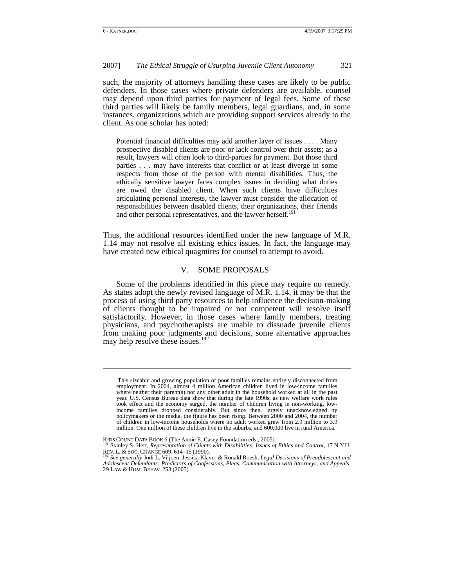l

## 2007] *The Ethical Struggle of Usurping Juvenile Client Autonomy* 321

such, the majority of attorneys handling these cases are likely to be public defenders. In those cases where private defenders are available, counsel may depend upon third parties for payment of legal fees. Some of these third parties will likely be family members, legal guardians, and, in some instances, organizations which are providing support services already to the client. As one scholar has noted:

Potential financial difficulties may add another layer of issues . . . . Many prospective disabled clients are poor or lack control over their assets; as a result, lawyers will often look to third-parties for payment. But those third parties . . . may have interests that conflict or at least diverge in some respects from those of the person with mental disabilities. Thus, the ethically sensitive lawyer faces complex issues in deciding what duties are owed the disabled client. When such clients have difficulties articulating personal interests, the lawyer must consider the allocation of responsibilities between disabled clients, their organizations, their friends and other personal representatives, and the lawyer herself.<sup>191</sup>

Thus, the additional resources identified under the new language of M.R. 1.14 may not resolve all existing ethics issues. In fact, the language may have created new ethical quagmires for counsel to attempt to avoid.

## V. SOME PROPOSALS

Some of the problems identified in this piece may require no remedy. As states adopt the newly revised language of M.R. 1.14, it may be that the process of using third party resources to help influence the decision-making of clients thought to be impaired or not competent will resolve itself satisfactorily. However, in those cases where family members, treating physicians, and psychotherapists are unable to dissuade juvenile clients from making poor judgments and decisions, some alternative approaches may help resolve these issues.<sup>192</sup>

This sizeable and growing population of poor families remains entirely disconnected from employment. In 2004, almost 4 million American children lived in low-income families where neither their parent(s) nor any other adult in the household worked at all in the past year. U.S. Census Bureau data show that during the late 1990s, as new welfare work rules took effect and the economy surged, the number of children living in non-working, lowincome families dropped considerably. But since then, largely unacknowledged by policymakers or the media, the figure has been rising. Between 2000 and 2004, the number of children in low-income households where no adult worked grew from 2.9 million to 3.9 million. One million of these children live in the suburbs, and  $600,000$  live in rural America.

KIDS COUNT DATA BOOK 6 (The Annie E. Casey Foundation eds., 2005). 191 Stanley S. Herr, *Representation of Clients with Disabilities: Issues of Ethics and Control*, 17 N.Y.U. REV. L. & SOC. CHANGE 609, 614–15 (1990). 192 *See generally* Jodi L. Viljoen, Jessica Klaver & Ronald Roesh, *Legal Decisions of Preadolescent and* 

*Adolescent Defendants: Predictors of Confessions, Pleas, Communication with Attorneys, and Appeals*, 29 LAW & HUM. BEHAV. 253 (2005).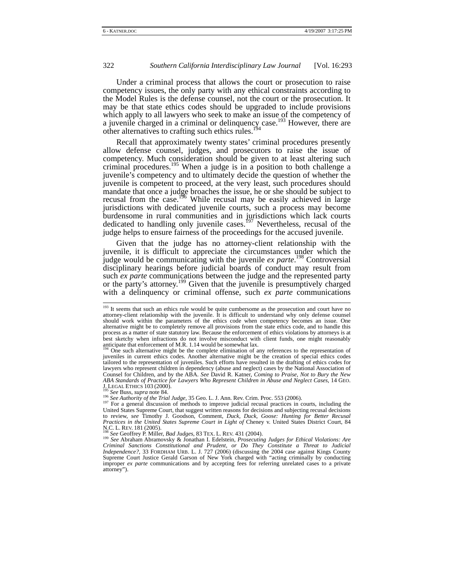Under a criminal process that allows the court or prosecution to raise competency issues, the only party with any ethical constraints according to the Model Rules is the defense counsel, not the court or the prosecution. It may be that state ethics codes should be upgraded to include provisions which apply to all lawyers who seek to make an issue of the competency of a juvenile charged in a criminal or delinquency case.<sup>193</sup> However, there are other alternatives to crafting such ethics rules.<sup>194</sup>

Recall that approximately twenty states' criminal procedures presently allow defense counsel, judges, and prosecutors to raise the issue of competency. Much consideration should be given to at least altering such criminal procedures.<sup>195</sup> When a judge is in a position to both challenge a juvenile's competency and to ultimately decide the question of whether the juvenile is competent to proceed, at the very least, such procedures should mandate that once a judge broaches the issue, he or she should be subject to recusal from the case.<sup>196</sup> While recusal may be easily achieved in large jurisdictions with dedicated juvenile courts, such a process may become burdensome in rural communities and in jurisdictions which lack courts dedicated to handling only juvenile cases.<sup>197</sup> Nevertheless, recusal of the judge helps to ensure fairness of the proceedings for the accused juvenile.

Given that the judge has no attorney-client relationship with the juvenile, it is difficult to appreciate the circumstances under which the judge would be communicating with the juvenile *ex parte*. 198 Controversial disciplinary hearings before judicial boards of conduct may result from such *ex parte* communications between the judge and the represented party or the party's attorney.<sup>199</sup> Given that the juvenile is presumptively charged with a delinquency or criminal offense, such *ex parte* communications

 $193$  It seems that such an ethics rule would be quite cumbersome as the prosecution and court have no attorney-client relationship with the juvenile. It is difficult to understand why only defense counsel should work within the parameters of the ethics code when competency becomes an issue. One alternative might be to completely remove all provisions from the state ethics code, and to handle this process as a matter of state statutory law. Because the enforcement of ethics violations by attorneys is at best sketchy when infractions do not involve misconduct with client funds, one might reasonably anticipate that enforcement of M.R. 1.14 would be somewhat lax.<br><sup>194</sup> One such alternative might be the complete elimination of any references to the representation of <sup>194</sup>

juveniles in current ethics codes. Another alternative might be the creation of special ethics codes tailored to the representation of juveniles. Such efforts have resulted in the drafting of ethics codes for lawyers who represent children in dependency (abuse and neglect) cases by the National Association of Counsel for Children, and by the ABA. *See* David R. Katner, *Coming to Praise, Not to Bury the New ABA Standards of Practice for Lawyers Who Represent Children in Abuse and Neglect Cases*, 14 GEO.

<sup>&</sup>lt;sup>195</sup> See Buss, *supra* note 84.<br><sup>196</sup> See Authority of the Trial Judge, 35 Geo. L. J. Ann. Rev. Crim. Proc. 553 (2006).<br><sup>197</sup> For a general discussion of methods to improve judicial recusal practices in courts, including United States Supreme Court, that suggest written reasons for decisions and subjecting recusal decisions to review, *see* Timothy J. Goodson, Comment, *Duck, Duck, Goose: Hunting for Better Recusal Practices in the United States Supreme Court in Light of* Cheney v. United States District Court, 84 N.C. L. REV. <sup>181</sup> (2005). 198 *See* Geoffrey P. Miller, *Bad Judges*, 83 TEX. L. REV. 431 (2004). 199 *See* Abraham Abramovsky & Jonathan I. Edelstein, *Prosecuting Judges for Ethical Violations: Are* 

*Criminal Sanctions Constitutional and Prudent, or Do They Constitute a Threat to Judicial Independence?*, 33 FORDHAM URB. L. J. 727 (2006) (discussing the 2004 case against Kings County Supreme Court Justice Gerald Garson of New York charged with "acting criminally by conducting improper *ex parte* communications and by accepting fees for referring unrelated cases to a private attorney").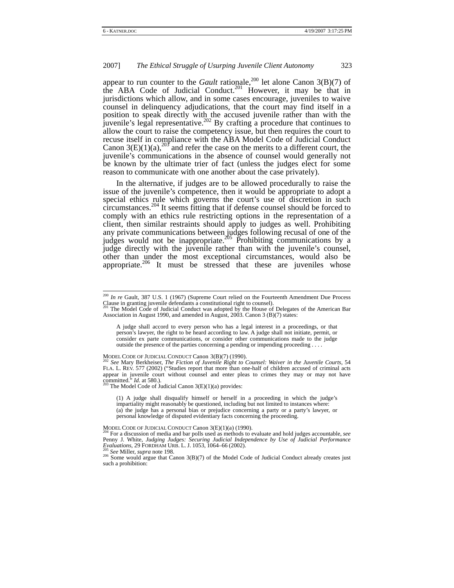appear to run counter to the *Gault* rationale,<sup>200</sup> let alone Canon 3(B)(7) of the ABA Code of Judicial Conduct.<sup>201</sup> However, it may be that in jurisdictions which allow, and in some cases encourage, juveniles to waive counsel in delinquency adjudications, that the court may find itself in a position to speak directly with the accused juvenile rather than with the juvenile's legal representative.<sup>202</sup> By crafting a procedure that continues to allow the court to raise the competency issue, but then requires the court to recuse itself in compliance with the ABA Model Code of Judicial Conduct Canon 3(E)(1)(a),<sup>203</sup> and refer the case on the merits to a different court, the juvenile's communications in the absence of counsel would generally not be known by the ultimate trier of fact (unless the judges elect for some reason to communicate with one another about the case privately).

In the alternative, if judges are to be allowed procedurally to raise the issue of the juvenile's competence, then it would be appropriate to adopt a special ethics rule which governs the court's use of discretion in such circumstances.204 It seems fitting that if defense counsel should be forced to comply with an ethics rule restricting options in the representation of a client, then similar restraints should apply to judges as well. Prohibiting any private communications between judges following recusal of one of the judges would not be inappropriate.<sup>205</sup> Prohibiting communications by a judge directly with the juvenile rather than with the juvenile's counsel, other than under the most exceptional circumstances, would also be appropriate.<sup>206</sup> It must be stressed that these are juveniles whose

(1) A judge shall disqualify himself or herself in a proceeding in which the judge's impartiality might reasonably be questioned, including but not limited to instances where: (a) the judge has a personal bias or prejudice concerning a party or a party's lawyer, or personal knowledge of disputed evidentiary facts concerning the proceeding.

<sup>&</sup>lt;sup>200</sup> *In re* Gault, 387 U.S. 1 (1967) (Supreme Court relied on the Fourteenth Amendment Due Process Cause in granting juvenile defendants a constitutional right to counsel).

The Model Code of Judicial Conduct was adopted by the House of Delegates of the American Bar Association in August 1990, and amended in August, 2003. Canon 3 (B)(7) states:

A judge shall accord to every person who has a legal interest in a proceedings, or that person's lawyer, the right to be heard according to law. A judge shall not initiate, permit, or consider ex parte communications, or consider other communications made to the judge outside the presence of the parties concerning a pending or impending proceeding . . . .

MODEL CODE OF JUDICIAL CONDUCT Canon 3(B)(7) (1990). 202 *See* Mary Berkheiser, *The Fiction of Juvenile Right to Counsel: Waiver in the Juvenile Courts,* <sup>54</sup> FLA. L. REV. 577 (2002) ("Studies report that more than one-half of children accused of criminal acts appear in juvenile court without counsel and enter pleas to crimes they may or may not have committed." *Id.* at 580.). 203 The Model Code of Judicial Canon 3(E)(1)(a) provides:

MODEL CODE OF JUDICIAL CONDUCT Canon 3(E)(1)(a) (1990). 204 For a discussion of media and bar polls used as methods to evaluate and hold judges accountable, *see* Penny J. White, *Judging Judges: Securing Judicial Independence by Use of Judicial Performance Eygaluations*, 29 FORDHAM URB. L. J. 1053, 1064–66 (2002).

<sup>&</sup>lt;sup>205</sup> *See* Miller, *supra* note 198.<br><sup>206</sup> Some would argue that Canon 3(B)(7) of the Model Code of Judicial Conduct already creates just such a prohibition: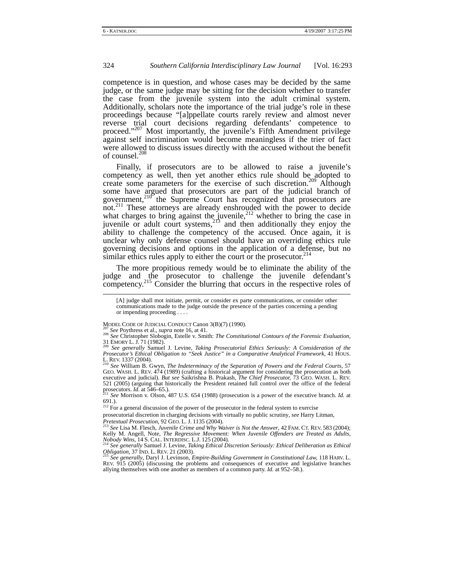competence is in question, and whose cases may be decided by the same judge, or the same judge may be sitting for the decision whether to transfer the case from the juvenile system into the adult criminal system. Additionally, scholars note the importance of the trial judge's role in these proceedings because "[a]ppellate courts rarely review and almost never reverse trial court decisions regarding defendants' competence to proceed."<sup>207</sup> Most importantly, the juvenile's Fifth Amendment privilege against self incrimination would become meaningless if the trier of fact were allowed to discuss issues directly with the accused without the benefit of counsel.<sup>208</sup>

Finally, if prosecutors are to be allowed to raise a juvenile's competency as well, then yet another ethics rule should be adopted to create some parameters for the exercise of such discretion.<sup>209</sup> Although some have argued that prosecutors are part of the judicial branch of government, $210^\circ$  the Supreme Court has recognized that prosecutors are not.<sup>211</sup> These attorneys are already enshrouded with the power to decide what charges to bring against the juvenile, $^{212}$  whether to bring the case in juvenile or adult court systems,  $2r^2$  and then additionally they enjoy the ability to challenge the competency of the accused. Once again, it is unclear why only defense counsel should have an overriding ethics rule governing decisions and options in the application of a defense, but no similar ethics rules apply to either the court or the prosecutor.<sup>214</sup>

The more propitious remedy would be to eliminate the ability of the judge and the prosecutor to challenge the juvenile defendant's competency.215 Consider the blurring that occurs in the respective roles of

prosecutorial discretion in charging decisions with virtually no public scrutiny, *see* Harry Litman,<br>*Pretextual Prosecution*, 92 GEO. L. J. 1135 (2004).<br><sup>213</sup> See Lisa M. Flocak, *Linearly Cell* M. W. W. W.

 <sup>[</sup>A] judge shall mot initiate, permit, or consider ex parte communications, or consider other communications made to the judge outside the presence of the parties concerning a pending or impending proceeding . . . .

MODEL CODE OF JUDICIAL CONDUCT Canon 3(B)(7) (1990).<br>
<sup>207</sup> *See* Poythress et al., *supra* note 16, at 41.<br>
<sup>208</sup> *See* Christopher Slobogin, Estelle v. Smith: *The Constitutional Contours of the Forensic Evaluation*,<br>
3

See generally Samuel J. Levine, *Taking Prosecutorial Ethics Seriously: A Consideration of the Prosecutor's Ethical Obligation to "Seek Justice" in a Comparative Analytical Framework*, 41 HOUS. L. REV. <sup>1337</sup> (2004). 210 *See* William B. Gwyn, *The Indeterminacy of the Separation of Powers and the Federal Courts,* <sup>57</sup>

GEO. WASH. L. REV. 474 (1989) (crafting a historical argument for considering the prosecution as both executive and judicial). *But see* Saikrishna B. Prakash, *The Chief Prosecutor,* 73 GEO. WASH. L. REV. 521 (2005) (arguing that historically the President retained full control over the office of the federal prosecutors. *Id.* at 546–65.)

*See* Morrison v. Olson, 487 U.S. 654 (1988) (prosecution is a power of the executive branch. *Id.* at 691.).

 $2^{12}$  For a general discussion of the power of the prosecutor in the federal system to exercise

*See* Lisa M. Flesch, *Juvenile Crime and Why Waiver is Not the Answer*, 42 FAM. CT. REV. 583 (2004); Kelly M. Angell, Note, *The Regressive Movement: When Juvenile Offenders are Treated as Adults,*<br>*Nobody Wins*, 14 S. CAL. INTERDISC. L.J. 125 (2004).<br><sup>214</sup> See generally Samuel J. Levine, *Taking Ethical Discretion Seriou* 

*Obligation*, 37 IND. L. REV. 21 (2003). 215 *See generally*, Daryl J. Levinson, *Empire-Building Government in Constitutional Law,* <sup>118</sup> HARV. L.

REV. 915 (2005) (discussing the problems and consequences of executive and legislative branches allying themselves with one another as members of a common party. *Id.* at 952–58.).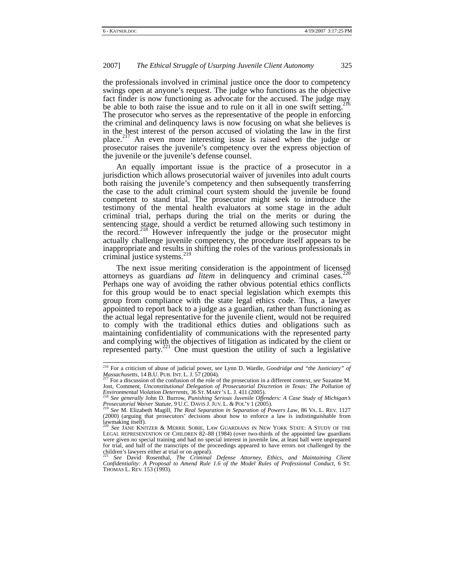the professionals involved in criminal justice once the door to competency swings open at anyone's request. The judge who functions as the objective fact finder is now functioning as advocate for the accused. The judge may be able to both raise the issue and to rule on it all in one swift setting.<sup>216</sup> The prosecutor who serves as the representative of the people in enforcing the criminal and delinquency laws is now focusing on what she believes is in the best interest of the person accused of violating the law in the first place.217 An even more interesting issue is raised when the judge or prosecutor raises the juvenile's competency over the express objection of the juvenile or the juvenile's defense counsel.

An equally important issue is the practice of a prosecutor in a jurisdiction which allows prosecutorial waiver of juveniles into adult courts both raising the juvenile's competency and then subsequently transferring the case to the adult criminal court system should the juvenile be found competent to stand trial. The prosecutor might seek to introduce the testimony of the mental health evaluators at some stage in the adult criminal trial, perhaps during the trial on the merits or during the sentencing stage, should a verdict be returned allowing such testimony in the record.<sup>218</sup> However infrequently the judge or the prosecutor might actually challenge juvenile competency, the procedure itself appears to be inappropriate and results in shifting the roles of the various professionals in criminal justice systems. $<sup>2</sup>$ </sup>

The next issue meriting consideration is the appointment of licensed attorneys as guardians *ad litem* in delinquency and criminal cases.<sup>220</sup> Perhaps one way of avoiding the rather obvious potential ethics conflicts for this group would be to enact special legislation which exempts this group from compliance with the state legal ethics code. Thus, a lawyer appointed to report back to a judge as a guardian, rather than functioning as the actual legal representative for the juvenile client, would not be required to comply with the traditional ethics duties and obligations such as maintaining confidentiality of communications with the represented party and complying with the objectives of litigation as indicated by the client or represented party.<sup>221</sup> One must question the utility of such a legislative

<sup>&</sup>lt;sup>216</sup> For a criticism of abuse of judicial power, *see* Lynn D. Wardle, *Goodridge and "the Justiciary" of Massachusetts*, 14 B.U. PUB. INT. L. J. 57 (2004).

For a discussion of the confusion of the role of the prosecution in a different context, *see* Suzanne M. Jost, Comment, *Unconstitutional Delegation of Prosecutorial Discretion in Texas: The Pollution of Environmental Violation Deterrents,* <sup>36</sup> ST. MARY'S L. J. <sup>411</sup> (2005). 218 *See generally* John D. Burrow, *Punishing Serious Juvenile Offenders: A Case Study of Michigan's* 

*Prosecutorial Waiver Statute*, 9 U.C. DAVIS J. JUV. L. & POL'Y 1 (2005). 219 *See* M. Elizabeth Magill, *The Real Separation in Separation of Powers Law*, 86 VA. L. REV. <sup>1127</sup>

<sup>(2000)</sup> (arguing that prosecutors' decisions about how to enforce a law is indistinguishable from lawmaking itself).

<sup>220</sup> *See* JANE KNITZER & MERRIL SOBIE, LAW GUARDIANS IN NEW YORK STATE: A STUDY OF THE LEGAL REPRESENTATION OF CHILDREN 82–88 (1984) (over two-thirds of the appointed law guardians were given no special training and had no special interest in juvenile law, at least half were unprepared for trial, and half of the transcripts of the proceedings appeared to have errors not challenged by the children's lawyers either at trial or on appeal). <sup>221</sup> *See* David Rosenthal, *The Criminal Defense Attorney, Ethics, and Maintaining Client* 

*Confidentiality: A Proposal to Amend Rule 1.6 of the Model Rules of Professional Conduct*, 6 ST. THOMAS L. REV. 153 (1993).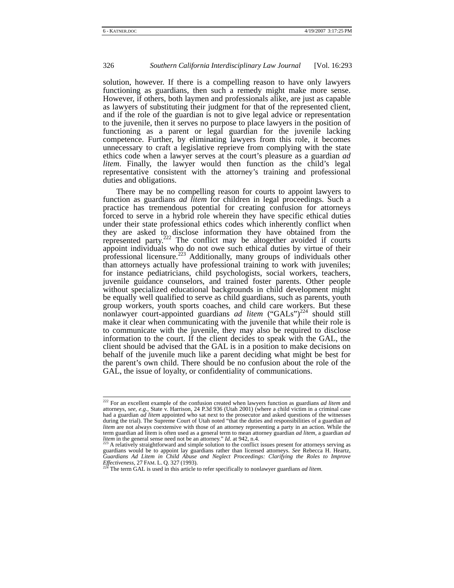solution, however. If there is a compelling reason to have only lawyers functioning as guardians, then such a remedy might make more sense. However, if others, both laymen and professionals alike, are just as capable as lawyers of substituting their judgment for that of the represented client, and if the role of the guardian is not to give legal advice or representation to the juvenile, then it serves no purpose to place lawyers in the position of functioning as a parent or legal guardian for the juvenile lacking competence. Further, by eliminating lawyers from this role, it becomes unnecessary to craft a legislative reprieve from complying with the state ethics code when a lawyer serves at the court's pleasure as a guardian *ad litem*. Finally, the lawyer would then function as the child's legal representative consistent with the attorney's training and professional duties and obligations.

There may be no compelling reason for courts to appoint lawyers to function as guardians *ad litem* for children in legal proceedings. Such a practice has tremendous potential for creating confusion for attorneys forced to serve in a hybrid role wherein they have specific ethical duties under their state professional ethics codes which inherently conflict when they are asked to disclose information they have obtained from the represented party. $222$  The conflict may be altogether avoided if courts appoint individuals who do not owe such ethical duties by virtue of their professional licensure.<sup>223</sup> Additionally, many groups of individuals other than attorneys actually have professional training to work with juveniles; for instance pediatricians, child psychologists, social workers, teachers, juvenile guidance counselors, and trained foster parents. Other people without specialized educational backgrounds in child development might be equally well qualified to serve as child guardians, such as parents, youth group workers, youth sports coaches, and child care workers. But these nonlawyer court-appointed guardians *ad litem* ("GALs")<sup>224</sup> should still make it clear when communicating with the juvenile that while their role is to communicate with the juvenile, they may also be required to disclose information to the court. If the client decides to speak with the GAL, the client should be advised that the GAL is in a position to make decisions on behalf of the juvenile much like a parent deciding what might be best for the parent's own child. There should be no confusion about the role of the GAL, the issue of loyalty, or confidentiality of communications.

 <sup>222</sup> For an excellent example of the confusion created when lawyers function as guardians *ad litem* and attorneys, *see, e.g.,* State v. Harrison, 24 P.3d 936 (Utah 2001) (where a child victim in a criminal case had a guardian *ad litem* appointed who sat next to the prosecutor and asked questions of the witnesses during the trial). The Supreme Court of Utah noted "that the duties and responsibilities of a guardian *ad litem* are not always coextensive with those of an attorney representing a party in an action. While the term guardian ad litem is often used as a general term to mean attorney guardian *ad litem*, a guardian *ad litem* in the general sense need not be an attorney." *Id*. at 942, n.4. 223 A relatively straightforward and simple solution to the conflict issues present for attorneys serving as <sup>223</sup> A relatively straightforward and

guardians would be to appoint lay guardians rather than licensed attorneys. *See* Rebecca H. Heartz, *Guardians Ad Litem in Child Abuse and Neglect Proceedings: Clarifying the Roles to Improve Effectiveness,* <sup>27</sup> FAM. L. Q. <sup>327</sup> (1993). 224 The term GAL is used in this article to refer specifically to nonlawyer guardians *ad litem*.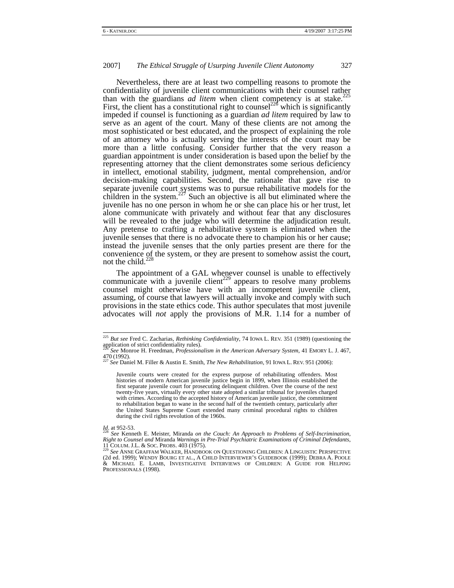Nevertheless, there are at least two compelling reasons to promote the confidentiality of juvenile client communications with their counsel rather<br>confidentiality of juvenile client communications with their counsel rather<br>225 than with the guardians *ad litem* when client competency is at stake.<sup>225</sup> First, the client has a constitutional right to counsel<sup>226</sup> which is significantly impeded if counsel is functioning as a guardian *ad litem* required by law to serve as an agent of the court. Many of these clients are not among the most sophisticated or best educated, and the prospect of explaining the role of an attorney who is actually serving the interests of the court may be more than a little confusing. Consider further that the very reason a guardian appointment is under consideration is based upon the belief by the representing attorney that the client demonstrates some serious deficiency in intellect, emotional stability, judgment, mental comprehension, and/or decision-making capabilities. Second, the rationale that gave rise to separate juvenile court systems was to pursue rehabilitative models for the children in the system.<sup>227</sup> Such an objective is all but eliminated where the juvenile has no one person in whom he or she can place his or her trust, let alone communicate with privately and without fear that any disclosures will be revealed to the judge who will determine the adjudication result. Any pretense to crafting a rehabilitative system is eliminated when the juvenile senses that there is no advocate there to champion his or her cause; instead the juvenile senses that the only parties present are there for the convenience of the system, or they are present to somehow assist the court, not the child. $^{228}$ 

The appointment of a GAL whenever counsel is unable to effectively communicate with a juvenile client<sup>229</sup> appears to resolve many problems counsel might otherwise have with an incompetent juvenile client, assuming, of course that lawyers will actually invoke and comply with such provisions in the state ethics code. This author speculates that most juvenile advocates will *not* apply the provisions of M.R. 1.14 for a number of

<sup>&</sup>lt;sup>225</sup> *But see* Fred C. Zacharias, *Rethinking Confidentiality*, 74 IOWA L. REV. 351 (1989) (questioning the application of strict confidentiality rules).

application of strict confidentiality rules). 226 *See* Monroe H. Freedman, *Professionalism in the American Adversary System*, 41 EMORY L. J. 467, <sup>470</sup> (1992). 227 *See* Daniel M. Filler & Austin E. Smith, *The New Rehabilitation*, 91 IOWA L. REV. <sup>951</sup> (2006):

Juvenile courts were created for the express purpose of rehabilitating offenders. Most histories of modern American juvenile justice begin in 1899, when Illinois established the first separate juvenile court for prosecuting delinquent children. Over the course of the next twenty-five years, virtually every other state adopted a similar tribunal for juveniles charged with crimes. According to the accepted history of American juvenile justice, the commitment to rehabilitation began to wane in the second half of the twentieth century, particularly after the United States Supreme Court extended many criminal procedural rights to children during the civil rights revolution of the 1960s.

Id. at 952-53.<br><sup>228</sup> See Kenneth E. Meister, Miranda *on the Couch: An Approach to Problems of Self-Incrimination,*<br>Right to Counsel and Miranda Warnings in Pre-Trial Psychiatric Examinations of Criminal Defendants, 11 COLUM. J.L. & SOC. PROBS. 403 (1975). 229 *See* ANNE GRAFFAM WALKER, HANDBOOK ON QUESTIONING CHILDREN: <sup>A</sup> LINGUISTIC PERSPECTIVE

<sup>(2</sup>d ed. 1999); WENDY BOURG ET AL., A CHILD INTERVIEWER'S GUIDEBOOK (1999); DEBRA A. POOLE & MICHAEL E. LAMB, INVESTIGATIVE INTERVIEWS OF CHILDREN: A GUIDE FOR HELPING PROFESSIONALS (1998).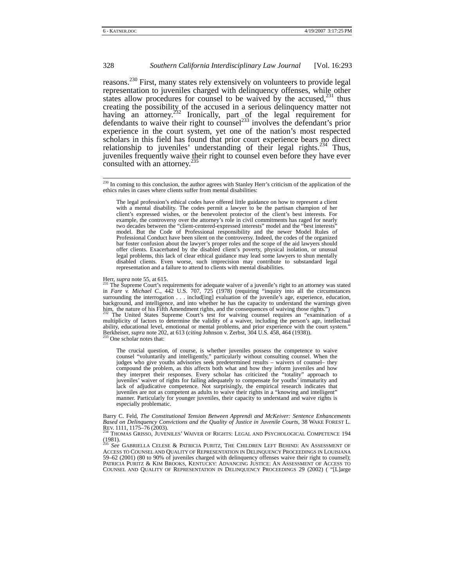reasons.<sup>230</sup> First, many states rely extensively on volunteers to provide legal representation to juveniles charged with delinquency offenses, while other states allow procedures for counsel to be waived by the accused, $231$  thus creating the possibility of the accused in a serious delinquency matter not having an attorney.<sup> $232$ </sup> Ironically, part of the legal requirement for defendants to waive their right to counsel<sup>233</sup> involves the defendant's prior experience in the court system, yet one of the nation's most respected scholars in this field has found that prior court experience bears no direct relationship to juveniles' understanding of their legal rights.<sup>234</sup> Thus, juveniles frequently waive their right to counsel even before they have ever consulted with an attorney.<sup>235</sup>

Herr, *supra* note 55, at 615.<br><sup>231</sup> The Supreme Court's requirements for adequate waiver of a juvenile's right to an attorney was stated in *Fare*  $\hat{v}$ . *Michael C.*, 442 U.S. 707, 725 (1978) (requiring "inquiry into all the circumstances surrounding the interrogation . . . includ[ing] evaluation of the juvenile's age, experience, education, background, and intelligence, and into whether he has the capacity to understand the warnings given<br>him, the nature of his Fifth Amendment rights, and the consequences of waiving those rights.") The United States Supreme Court's test for waiving counsel requires an "examination of a multiplicity of factors to determine the validity of a waiver, including the person's age, intellectual ability, educational level, emotional or mental problems, and prior experience with the court system."<br>Berkheiser, *supra* note 202, at 613 (*citing Johnson v. Zerbst, 304 U.S. 458, 464* (1938)).<br><sup>233</sup> One scholar notes th

The crucial question, of course, is whether juveniles possess the competence to waive counsel "voluntarily and intelligently," particularly without consulting counsel. When the judges who give youths advisories seek predetermined results – waivers of counsel– they compound the problem, as this affects both what and how they inform juveniles and how they interpret their responses. Every scholar has criticized the "totality" approach to juveniles' waiver of rights for failing adequately to compensate for youths' immaturity and lack of adjudicative competence. Not surprisingly, the empirical research indicates that juveniles are not as competent as adults to waive their rights in a "knowing and intelligent" manner. Particularly for younger juveniles, their capacity to understand and waive rights is especially problematic.

Barry C. Feld, *The Constitutional Tension Between Apprendi and McKeiver: Sentence Enhancements Based on Delinquency Convictions and the Quality of Justice in Juvenile Courts*, 38 WAKE FOREST L. REV. 1111, 1175–76 (2003).<br><sup>234</sup> THOMAS GRISSO, JUVENILES' WAIVER OF RIGHTS: LEGAL AND PSYCHOLOGICAL COMPETENCE 194

 $(1981)$ .

<sup>235</sup> *See* GABRIELLA CELESE & PATRICIA PURITZ, THE CHILDREN LEFT BEHIND: AN ASSESSMENT OF ACCESS TO COUNSEL AND QUALITY OF REPRESENTATION IN DELINQUENCY PROCEEDINGS IN LOUISIANA 59–62 (2001) (80 to 90% of juveniles charged with delinquency offenses waive their right to counsel); PATRICIA PURITZ & KIM BROOKS, KENTUCKY: ADVANCING JUSTICE: AN ASSESSMENT OF ACCESS TO COUNSEL AND QUALITY OF REPRESENTATION IN DELINQUENCY PROCEEDINGS 29 (2002) ( "[L]arge

<sup>&</sup>lt;sup>230</sup> In coming to this conclusion, the author agrees with Stanley Herr's criticism of the application of the ethics rules in cases where clients suffer from mental disabilities:

The legal profession's ethical codes have offered little guidance on how to represent a client with a mental disability. The codes permit a lawyer to be the partisan champion of her client's expressed wishes, or the benevolent protector of the client's best interests. For example, the controversy over the attorney's role in civil commitments has raged for nearly two decades between the "client-centered-expressed interests" model and the "best interests" model. But the Code of Professional responsibility and the newer Model Rules of Professional Conduct have been silent on the controversy. Indeed, the codes of the organized bar foster confusion about the lawyer's proper roles and the scope of the aid lawyers should offer clients. Exacerbated by the disabled client's poverty, physical isolation, or unusual legal problems, this lack of clear ethical guidance may lead some lawyers to shun mentally disabled clients. Even worse, such imprecision may contribute to substandard legal representation and a failure to attend to clients with mental disabilities.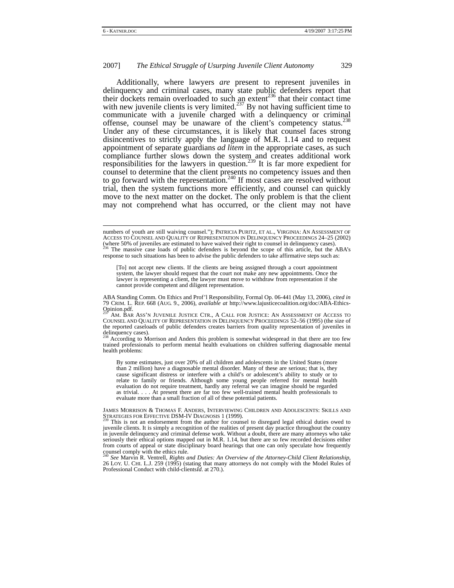Additionally, where lawyers *are* present to represent juveniles in delinquency and criminal cases, many state public defenders report that their dockets remain overloaded to such an extent<sup>236</sup> that their contact time with new juvenile clients is very limited.<sup>237</sup> By not having sufficient time to communicate with a juvenile charged with a delinquency or criminal offense, counsel may be unaware of the client's competency status.<sup>238</sup> Under any of these circumstances, it is likely that counsel faces strong disincentives to strictly apply the language of M.R. 1.14 and to request appointment of separate guardians *ad litem* in the appropriate cases, as such compliance further slows down the system and creates additional work responsibilities for the lawyers in question.<sup>239</sup> It is far more expedient for counsel to determine that the client presents no competency issues and then to go forward with the representation.<sup>240</sup> If most cases are resolved without trial, then the system functions more efficiently, and counsel can quickly move to the next matter on the docket. The only problem is that the client may not comprehend what has occurred, or the client may not have

response to such situations has been to advise the public defenders to take affirmative steps such as:

[To] not accept new clients. If the clients are being assigned through a court appointment system, the lawyer should request that the court not make any new appointments. Once the lawyer is representing a client, the lawyer must move to withdraw from representation if she cannot provide competent and diligent representation.

According to Morrison and Anders this problem is somewhat widespread in that there are too few trained professionals to perform mental health evaluations on children suffering diagnosable mental health problems:

By some estimates, just over 20% of all children and adolescents in the United States (more than 2 million) have a diagnosable mental disorder. Many of these are serious; that is, they cause significant distress or interfere with a child's or adolescent's ability to study or to relate to family or friends. Although some young people referred for mental health evaluation do not require treatment, hardly any referral we can imagine should be regarded as trivial. . . . At present there are far too few well-trained mental health professionals to evaluate more than a small fraction of all of these potential patients.

numbers of youth are still waiving counsel."); PATRICIA PURITZ, ET AL., VIRGINIA: AN ASSESSMENT OF ACCESS TO COUNSEL AND QUALITY OF REPRESENTATION IN DELINQUENCY PROCEEDINGS 24–25 (2002) (where 50% of juveniles are estimated to have waived their right to counsel in delinquency cases).<br><sup>236</sup> The massive case loads of public defenders is beyond the scope of this article, but the ABA's

ABA Standing Comm. On Ethics and Prof'l Responsibility, Formal Op. 06-441 (May 13, 2006), *cited in*  79 CRIM. L. REP. 668 (AUG. 9., 2006), *available at* http://www.lajusticecoalition.org/doc/ABA-Ethics-Opinion.pdf.

AM. BAR ASS'N JUVENILE JUSTICE CTR., A CALL FOR JUSTICE: AN ASSESSMENT OF ACCESS TO COUNSEL AND QUALITY OF REPRESENTATION IN DELINQUENCY PROCEEDINGS 52–56 (1995) (the size of the reported caseloads of public defenders creates barriers from quality representation of juveniles in delinquency cases).

JAMES MORRISON & THOMAS F. ANDERS, INTERVIEWING CHILDREN AND ADOLESCENTS: SKILLS AND STRATEGIES FOR EFFECTIVE DSM-IV DIAGNOSIS 1 (1999).

This is not an endorsement from the author for counsel to disregard legal ethical duties owed to juvenile clients. It is simply a recognition of the realities of present day practice throughout the country in juvenile delinquency and criminal defense work. Without a doubt, there are many attorneys who take seriously their ethical options mapped out in M.R. 1.14, but there are so few recorded decisions either from courts of appeal or state disciplinary board hearings that one can only speculate how frequently counsel comply with the ethics rule.

<sup>240</sup> *See* Marvin R. Ventrell, *Rights and Duties: An Overview of the Attorney-Child Client Relationship*, 26 LOY. U. CHI. L.J. 259 (1995) (stating that many attorneys do not comply with the Model Rules of Professional Conduct with child-clients*Id*. at 270.).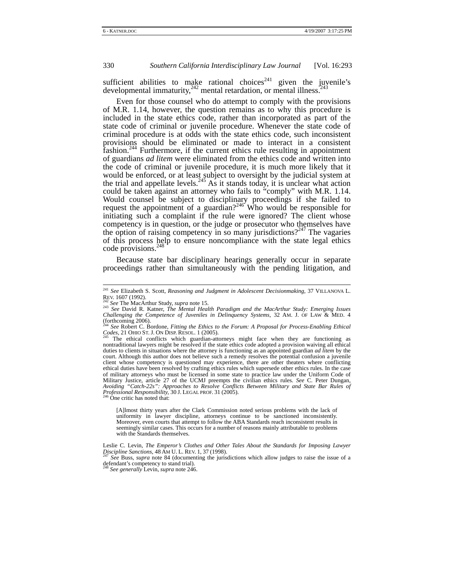sufficient abilities to make rational choices<sup>241</sup> given the juvenile's developmental immaturity, $\frac{242}{2}$  mental retardation, or mental illness.<sup>243</sup>

Even for those counsel who do attempt to comply with the provisions of M.R. 1.14, however, the question remains as to why this procedure is included in the state ethics code, rather than incorporated as part of the state code of criminal or juvenile procedure. Whenever the state code of criminal procedure is at odds with the state ethics code, such inconsistent provisions should be eliminated or made to interact in a consistent fashion.244 Furthermore, if the current ethics rule resulting in appointment of guardians *ad litem* were eliminated from the ethics code and written into the code of criminal or juvenile procedure, it is much more likely that it would be enforced, or at least subject to oversight by the judicial system at the trial and appellate levels.<sup>245</sup> As it stands today, it is unclear what action could be taken against an attorney who fails to "comply" with M.R. 1.14. Would counsel be subject to disciplinary proceedings if she failed to request the appointment of a guardian?<sup>246</sup> Who would be responsible for initiating such a complaint if the rule were ignored? The client whose competency is in question, or the judge or prosecutor who themselves have the option of raising competency in so many jurisdictions?<sup>247</sup> The vagaries of this process help to ensure noncompliance with the state legal ethics code provisions. $^{2}$ 

Because state bar disciplinary hearings generally occur in separate proceedings rather than simultaneously with the pending litigation, and

[A]lmost thirty years after the Clark Commission noted serious problems with the lack of uniformity in lawyer discipline, attorneys continue to be sanctioned inconsistently. Moreover, even courts that attempt to follow the ABA Standards reach inconsistent results in seemingly similar cases. This occurs for a number of reasons mainly attributable to problems with the Standards themselves.

<sup>&</sup>lt;sup>241</sup> *See Elizabeth S. Scott, Reasoning and Judgment in Adolescent Decisionmaking*, 37 VILLANOVA L. REV. 1607 (1992).

REV. 1607 (1992). 242 *See* The MacArthur Study, *supra* note 15. 243 *See* David R. Katner, *The Mental Health Paradigm and the MacArthur Study: Emerging Issues Challenging the Competence of Juveniles in Delinquency Systems*, 32 AM. J. OF LAW & MED. 4 (forthcoming 2006).

<sup>&</sup>lt;sup>244</sup> *See* Robert C. Bordone, *Fitting the Ethics to the Forum: A Proposal for Process-Enabling Ethical* Codes, 21 OHO ST. J. ON DISP RESOL. 1 (2005).

The ethical conflicts which guardian-attorneys might face when they are functioning as nontraditional lawyers might be resolved if the state ethics code adopted a provision waiving all ethical duties to clients in situations where the attorney is functioning as an appointed guardian *ad litem* by the court. Although this author does not believe such a remedy resolves the potential confusion a juvenile client whose competency is questioned may experience, there are other theaters where conflicting ethical duties have been resolved by crafting ethics rules which supersede other ethics rules. In the case of military attorneys who must be licensed in some state to practice law under the Uniform Code of Military Justice, article 27 of the UCMJ preempts the civilian ethics rules. *See* C. Peter Dungan, *Avoiding "Catch-22s": Approaches to Resolve Conflicts Between Military and State Bar Rules of Professional Responsibility,* 30 J. LEGAL PROF. 31 (2005).<br><sup>246</sup> One critic has noted that:

Leslie C. Levin, *The Emperor's Clothes and Other Tales About the Standards for Imposing Lawyer*<br>*Discipline Sanctions*, 48 AM U.L. REV. 1, 37 (1998).

*See* Buss, *supra* note 84 (documenting the jurisdictions which allow judges to raise the issue of a defendant's competency to stand trial). <sup>248</sup> *See generally* Levin, *supra* note 246.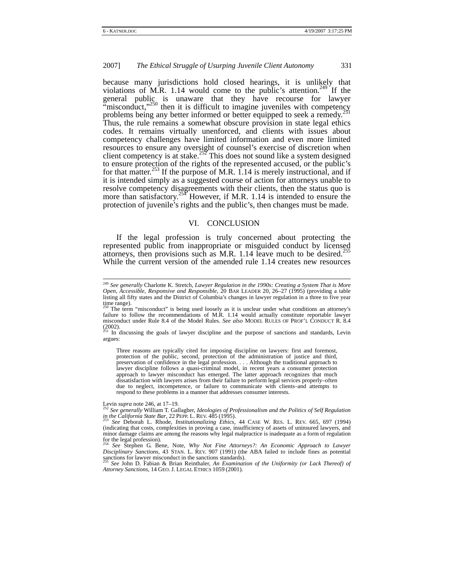because many jurisdictions hold closed hearings, it is unlikely that violations of M.R. 1.14 would come to the public's attention.<sup>249</sup> If the general public is unaware that they have recourse for lawyer "misconduct," $^{250}$  then it is difficult to imagine juveniles with competency problems being any better informed or better equipped to seek a remedy.<sup>2</sup> Thus, the rule remains a somewhat obscure provision in state legal ethics codes. It remains virtually unenforced, and clients with issues about competency challenges have limited information and even more limited resources to ensure any oversight of counsel's exercise of discretion when client competency is at stake.<sup>252</sup> This does not sound like a system designed to ensure protection of the rights of the represented accused, or the public's for that matter.<sup>253</sup> If the purpose of M.R. 1.14 is merely instructional, and if it is intended simply as a suggested course of action for attorneys unable to resolve competency disagreements with their clients, then the status quo is more than satisfactory.<sup>254</sup> However, if M.R. 1.14 is intended to ensure the protection of juvenile's rights and the public's, then changes must be made.

#### VI. CONCLUSION

If the legal profession is truly concerned about protecting the represented public from inappropriate or misguided conduct by licensed attorneys, then provisions such as M.R. 1.14 leave much to be desired.<sup>255</sup> While the current version of the amended rule 1.14 creates new resources

argues:

Three reasons are typically cited for imposing discipline on lawyers: first and foremost, protection of the public, second, protection of the administration of justice and third, preservation of confidence in the legal profession. . . . Although the traditional approach to lawyer discipline follows a quasi-criminal model, in recent years a consumer protection approach to lawyer misconduct has emerged. The latter approach recognizes that much dissatisfaction with lawyers arises from their failure to perform legal services properly–often due to neglect, incompetence, or failure to communicate with clients–and attempts to respond to these problems in a manner that addresses consumer interests.

Levin *supra* note 246, at 17–19.<br><sup>252</sup> *See generally* William T. Gallagher, *Ideologies of Professionalism and the Politics of Self Regulation in the California State Bar*, 22 PEPP L. REV. 485 (1995).

<sup>254</sup> *See* Stephen G. Bene, Note, *Why Not Fine Attorneys?: An Economic Approach to Lawyer Disciplinary Sanctions,* 43 STAN. L. REV. 907 (1991) (the ABA failed to include fines as potential sanctions for lawyer misconduct in the sanctions standards).

<sup>255</sup> *See* John D. Fabian & Brian Reinthaler, *An Examination of the Uniformity (or Lack Thereof) of Attorney Sanctions*, 14 GEO. J. LEGAL ETHICS 1059 (2001).

 <sup>249</sup> *See generally* Charlotte K. Stretch, *Lawyer Regulation in the 1990s: Creating a System That is More Open, Accessible, Responsive and Responsible,* 20 BAR LEADER 20, 26–27 (1995) (providing a table listing all fifty states and the District of Columbia's changes in lawyer regulation in a three to five year time range).

The term "misconduct" is being used loosely as it is unclear under what conditions an attorney's failure to follow the recommendations of M.R. 1.14 would actually constitute reportable lawyer misconduct under Rule 8.4 of the Model Rules. *See also* MODEL RULES OF PROF'L CONDUCT R. 8.4 (2002).<br><sup>251</sup> In discussing the goals of lawyer discipline and the purpose of sanctions and standards, Levin

*See* Deborah L. Rhode, *Institutionalizing Ethics*, <sup>44</sup> CASE W. RES. L. REV. 665, 697 (1994) (indicating that costs, complexities in proving a case, insufficiency of assets of uninsured lawyers, and minor damage claims are among the reasons why legal malpractice is inadequate as a form of regulation for the legal profession).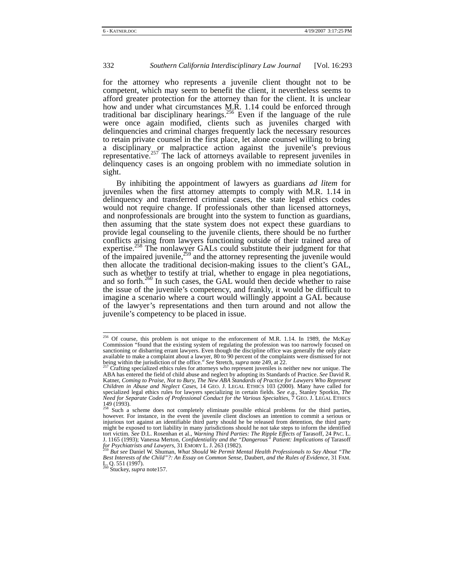for the attorney who represents a juvenile client thought not to be competent, which may seem to benefit the client, it nevertheless seems to afford greater protection for the attorney than for the client. It is unclear how and under what circumstances M.R. 1.14 could be enforced through traditional bar disciplinary hearings.<sup>256</sup> Even if the language of the rule were once again modified, clients such as juveniles charged with delinquencies and criminal charges frequently lack the necessary resources to retain private counsel in the first place, let alone counsel willing to bring a disciplinary or malpractice action against the juvenile's previous representative.<sup>257</sup> The lack of attorneys available to represent juveniles in delinquency cases is an ongoing problem with no immediate solution in sight.

By inhibiting the appointment of lawyers as guardians *ad litem* for juveniles when the first attorney attempts to comply with M.R. 1.14 in delinquency and transferred criminal cases, the state legal ethics codes would not require change. If professionals other than licensed attorneys, and nonprofessionals are brought into the system to function as guardians, then assuming that the state system does not expect these guardians to provide legal counseling to the juvenile clients, there should be no further conflicts arising from lawyers functioning outside of their trained area of expertise.<sup>258</sup> The nonlawyer GALs could substitute their judgment for that of the impaired juvenile,  $z^{59}$  and the attorney representing the juvenile would then allocate the traditional decision-making issues to the client's GAL, such as whether to testify at trial, whether to engage in plea negotiations, and so forth.<sup>260</sup> In such cases, the GAL would then decide whether to raise the issue of the juvenile's competency, and frankly, it would be difficult to imagine a scenario where a court would willingly appoint a GAL because of the lawyer's representations and then turn around and not allow the juvenile's competency to be placed in issue.

<sup>&</sup>lt;sup>256</sup> Of course, this problem is not unique to the enforcement of M.R. 1.14. In 1989, the McKay Commission "found that the existing system of regulating the profession was too narrowly focused on sanctioning or disbarring errant lawyers. Even though the discipline office was generally the only place available to make a complaint about a lawyer, 80 to 90 percent of the complaints were dismissed for not<br>being within the jurisdiction of the office." See Stretch, *supra* note 249, at 22.<br><sup>257</sup> Crafting specialized ethics

ABA has entered the field of child abuse and neglect by adopting its Standards of Practice. *See* David R. Katner, *Coming to Praise, Not to Bury, The New ABA Standards of Practice for Lawyers Who Represent Children in Abuse and Neglect Cases,* 14 GEO. J. LEGAL ETHICS 103 (2000). Many have called for specialized legal ethics rules for lawyers specializing in certain fields. See e.g., Stanley Sporkin, The<br>Need for Separate Codes of Professional Conduct for the Various Specialties, 7 GEO. J. LEGAL ETHICS 149 (1993). 258 Such a scheme does not completely eliminate possible ethical problems for the third parties,

however. For instance, in the event the juvenile client discloses an intention to commit a serious or injurious tort against an identifiable third party should he be released from detention, the third party might be exposed to tort liability in many jurisdictions should he not take steps to inform the identified tort victim. See D.L. Rosenhan et al., *Warning Third Parties: The Ripple Effects of* Tarasoff, 24 PAC. L.<br>J. 1165 (1993); Vanessa Merton, *Confidentiality and the "Dangerous" Patient: Implications of* Tarasoff *for Psychiatrists and Lawyers*, 31 EMORY L. J. 263 (1982). 2008 *But the alth Professionals to Say About "The* <sup>259</sup> *But see* Daniel W. Shuman, *What Should We Permit Mental Health Professionals to Say About "The* 

*Best Interests of the Child"?: An Essay on Common Sense,* Daubert*, and the Rules of Evidence*, 31 FAM. L. Q. 551 (1997). 260 Stuckey, *supra* note157.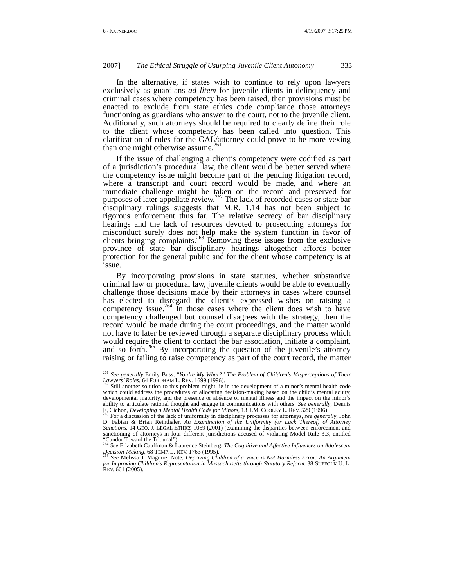In the alternative, if states wish to continue to rely upon lawyers exclusively as guardians *ad litem* for juvenile clients in delinquency and criminal cases where competency has been raised, then provisions must be enacted to exclude from state ethics code compliance those attorneys functioning as guardians who answer to the court, not to the juvenile client. Additionally, such attorneys should be required to clearly define their role to the client whose competency has been called into question. This clarification of roles for the GAL/attorney could prove to be more vexing than one might otherwise assume.<sup>261</sup>

If the issue of challenging a client's competency were codified as part of a jurisdiction's procedural law, the client would be better served where the competency issue might become part of the pending litigation record, where a transcript and court record would be made, and where an immediate challenge might be taken on the record and preserved for purposes of later appellate review.<sup>262</sup> The lack of recorded cases or state bar disciplinary rulings suggests that M.R. 1.14 has not been subject to rigorous enforcement thus far. The relative secrecy of bar disciplinary hearings and the lack of resources devoted to prosecuting attorneys for misconduct surely does not help make the system function in favor of clients bringing complaints.<sup>263</sup> Removing these issues from the exclusive province of state bar disciplinary hearings altogether affords better protection for the general public and for the client whose competency is at issue.

By incorporating provisions in state statutes, whether substantive criminal law or procedural law, juvenile clients would be able to eventually challenge those decisions made by their attorneys in cases where counsel has elected to disregard the client's expressed wishes on raising a competency issue.<sup>264</sup> In those cases where the client does wish to have competency challenged but counsel disagrees with the strategy, then the record would be made during the court proceedings, and the matter would not have to later be reviewed through a separate disciplinary process which would require the client to contact the bar association, initiate a complaint, and so forth.<sup>265</sup> By incorporating the question of the juvenile's attorney raising or failing to raise competency as part of the court record, the matter

 <sup>261</sup> *See generally* Emily Buss, "*You're My What?" The Problem of Children's Misperceptions of Their*  Lawyers' Roles, 64 FORDHAM L. REV. 1699 (1996).<br><sup>262</sup> Still another solution to this problem might lie in the development of a minor's mental health code

which could address the procedures of allocating decision-making based on the child's mental acuity, developmental maturity, and the presence or absence of mental illness and the impact on the minor's ability to articulate rational thought and engage in communications with others. *See generally*, Dennis E. Cichon, *Developing a Mental Health Code for Minors*, 13 T.M. COOLEY L. REV. 529 (1996).

Fabian Britannia Controller and discussion of the lack of uniformity in disciplinary processes for attorneys, *see generally*, John D. Fabian & Brian Reinthaler, *An Examination of the Uniformity (or Lack Thereof) of Attor Sanctions,* 14 GEO. J. LEGAL ETHICS 1059 (2001) (examining the disparities between enforcement and sanctioning of attorneys in four different jurisdictions accused of violating Model Rule 3.3, entitled "Candor Toward the Tribunal"). <sup>264</sup> *See* Elizabeth Cauffman & Laurence Steinberg, *The Cognitive and Affective Influences on Adolescent* 

*Decision-Making,* 68 TEMP. L. REV. 1763 (1995). 265 *See* Melissa J. Maguire, Note, *Depriving Children of a Voice is Not Harmless Error: An Argument* 

*for Improving Children's Representation in Massachusetts through Statutory Reform*, 38 SUFFOLK U. L. REV. 661 (2005).